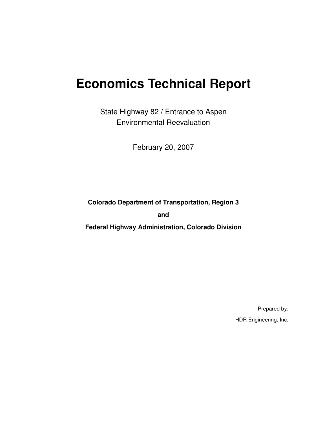# **Economics Technical Report**

State Highway 82 / Entrance to Aspen Environmental Reevaluation

February 20, 2007

**Colorado Department of Transportation, Region 3 and** 

**Federal Highway Administration, Colorado Division** 

Prepared by: HDR Engineering, Inc.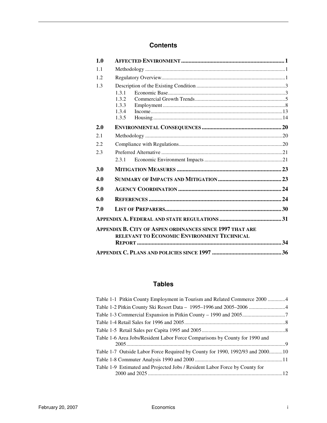### **Contents**

| 1.0        |                                                                 |  |
|------------|-----------------------------------------------------------------|--|
| 1.1        |                                                                 |  |
| 1.2        |                                                                 |  |
| 1.3        |                                                                 |  |
|            | 1.3.1                                                           |  |
|            | 1.3.2                                                           |  |
|            | 1.3.3<br>1.3.4                                                  |  |
|            | 1.3.5                                                           |  |
| 2.0        |                                                                 |  |
| 2.1        |                                                                 |  |
| 2.2        |                                                                 |  |
| 2.3        |                                                                 |  |
|            | 2.3.1                                                           |  |
| <b>3.0</b> |                                                                 |  |
| 4.0        |                                                                 |  |
| 5.0        |                                                                 |  |
| 6.0        |                                                                 |  |
| 7.0        |                                                                 |  |
|            |                                                                 |  |
|            | <b>APPENDIX B. CITY OF ASPEN ORDINANCES SINCE 1997 THAT ARE</b> |  |
|            | RELEVANT TO ECONOMIC ENVIRONMENT TECHNICAL                      |  |
|            |                                                                 |  |
|            |                                                                 |  |

### **Tables**

| Table 1-1 Pitkin County Employment in Tourism and Related Commerce 2000 4     |  |
|-------------------------------------------------------------------------------|--|
|                                                                               |  |
|                                                                               |  |
|                                                                               |  |
|                                                                               |  |
| Table 1-6 Area Jobs/Resident Labor Force Comparisons by County for 1990 and   |  |
| Table 1-7 Outside Labor Force Required by County for 1990, 1992/93 and 200010 |  |
|                                                                               |  |
| Table 1-9 Estimated and Projected Jobs / Resident Labor Force by County for   |  |
|                                                                               |  |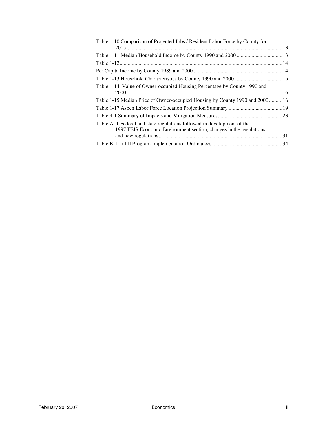| Table 1-10 Comparison of Projected Jobs / Resident Labor Force by County for |  |
|------------------------------------------------------------------------------|--|
|                                                                              |  |
|                                                                              |  |
|                                                                              |  |
|                                                                              |  |
|                                                                              |  |
| Table 1-14 Value of Owner-occupied Housing Percentage by County 1990 and     |  |
|                                                                              |  |
| Table 1-15 Median Price of Owner-occupied Housing by County 1990 and 200016  |  |
|                                                                              |  |
|                                                                              |  |
| Table A–1 Federal and state regulations followed in development of the       |  |
| 1997 FEIS Economic Environment section, changes in the regulations,          |  |
|                                                                              |  |
|                                                                              |  |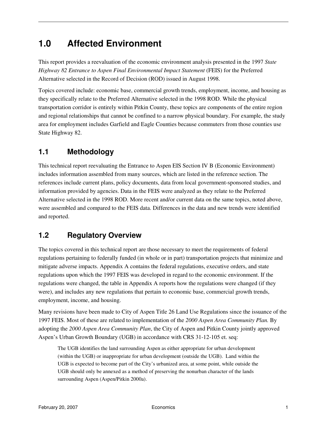## **1.0 Affected Environment**

This report provides a reevaluation of the economic environment analysis presented in the 1997 *State Highway 82 Entrance to Aspen Final Environmental Impact Statement* (FEIS) for the Preferred Alternative selected in the Record of Decision (ROD) issued in August 1998.

Topics covered include: economic base, commercial growth trends, employment, income, and housing as they specifically relate to the Preferred Alternative selected in the 1998 ROD. While the physical transportation corridor is entirely within Pitkin County, these topics are components of the entire region and regional relationships that cannot be confined to a narrow physical boundary. For example, the study area for employment includes Garfield and Eagle Counties because commuters from those counties use State Highway 82.

### **1.1 Methodology**

This technical report reevaluating the Entrance to Aspen EIS Section IV B (Economic Environment) includes information assembled from many sources, which are listed in the reference section. The references include current plans, policy documents, data from local government-sponsored studies, and information provided by agencies. Data in the FEIS were analyzed as they relate to the Preferred Alternative selected in the 1998 ROD. More recent and/or current data on the same topics, noted above, were assembled and compared to the FEIS data. Differences in the data and new trends were identified and reported.

### **1.2 Regulatory Overview**

The topics covered in this technical report are those necessary to meet the requirements of federal regulations pertaining to federally funded (in whole or in part) transportation projects that minimize and mitigate adverse impacts. Appendix A contains the federal regulations, executive orders, and state regulations upon which the 1997 FEIS was developed in regard to the economic environment. If the regulations were changed, the table in Appendix A reports how the regulations were changed (if they were), and includes any new regulations that pertain to economic base, commercial growth trends, employment, income, and housing.

Many revisions have been made to City of Aspen Title 26 Land Use Regulations since the issuance of the 1997 FEIS. Most of these are related to implementation of the *2000 Aspen Area Community Plan.* By adopting the *2000 Aspen Area Community Plan*, the City of Aspen and Pitkin County jointly approved Aspen's Urban Growth Boundary (UGB) in accordance with CRS 31-12-105 et. seq:

The UGB identifies the land surrounding Aspen as either appropriate for urban development (within the UGB) or inappropriate for urban development (outside the UGB). Land within the UGB is expected to become part of the City's urbanized area, at some point, while outside the UGB should only be annexed as a method of preserving the nonurban character of the lands surrounding Aspen (Aspen/Pitkin 2000a).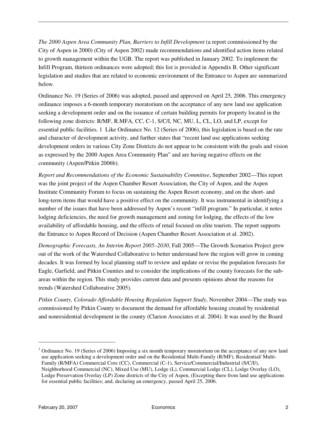*The 2000 Aspen Area Community Plan, Barriers to Infill Development* (a report commissioned by the City of Aspen in 2000) (City of Aspen 2002) made recommendations and identified action items related to growth management within the UGB. The report was published in January 2002. To implement the Infill Program, thirteen ordinances were adopted; this list is provided in Appendix B. Other significant legislation and studies that are related to economic environment of the Entrance to Aspen are summarized below.

Ordinance No. 19 (Series of 2006) was adopted, passed and approved on April 25, 2006. This emergency ordinance imposes a 6-month temporary moratorium on the acceptance of any new land use application seeking a development order and on the issuance of certain building permits for property located in the following zone districts: R/MF, R.MFA, CC, C-1, S/C/I, NC, MU, L, CL, LO, and LP, except for essential public facilities. 1 Like Ordinance No. 12 (Series of 2006), this legislation is based on the rate and character of development activity, and further states that "recent land use applications seeking development orders in various City Zone Districts do not appear to be consistent with the goals and vision as expressed by the 2000 Aspen Area Community Plan" and are having negative effects on the community (Aspen/Pitkin 2006b).

*Report and Recommendations of the Economic Sustainability Committee*, September 2002—This report was the joint project of the Aspen Chamber Resort Association, the City of Aspen, and the Aspen Institute Community Forum to focus on sustaining the Aspen Resort economy, and on the short- and long-term items that would have a positive effect on the community. It was instrumental in identifying a number of the issues that have been addressed by Aspen's recent "infill program." In particular, it notes lodging deficiencies, the need for growth management and zoning for lodging, the effects of the low availability of affordable housing, and the effects of retail focused on elite tourists. The report supports the Entrance to Aspen Record of Decision (Aspen Chamber Resort Association et al. 2002).

*Demographic Forecasts, An Interim Report 2005–2030*, Fall 2005—The Growth Scenarios Project grew out of the work of the Watershed Collaborative to better understand how the region will grow in coming decades. It was formed by local planning staff to review and update or revise the population forecasts for Eagle, Garfield, and Pitkin Counties and to consider the implications of the county forecasts for the subareas within the region. This study provides current data and presents opinions about the reasons for trends (Watershed Collaborative 2005).

*Pitkin County, Colorado Affordable Housing Regulation Support Study*, November 2004—The study was commissioned by Pitkin County to document the demand for affordable housing created by residential and nonresidential development in the county (Clarion Associates et al. 2004). It was used by the Board

 $\overline{a}$ 

 $1$  Ordinance No. 19 (Series of 2006) Imposing a six month temporary moratorium on the acceptance of any new land use application seeking a development order and on the Residential Multi-Family (R/MF), Residential/ Multi-Family (R/MFA) Commercial Core (CC), Commercial (C-1), Service/Commercial/Industrial (S/C/I/), Neighborhood Commercial (NC), Mixed Use (MU), Lodge (L), Commercial Lodge (CL), Lodge Overlay (LO), Lodge Preservation Overlay (LP) Zone districts of the City of Aspen, (Excepting there from land use applications for essential public facilities; and, declaring an emergency, passed April 25, 2006.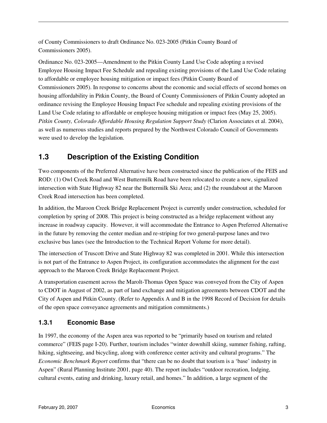of County Commissioners to draft Ordinance No. 023-2005 (Pitkin County Board of Commissioners 2005).

Ordinance No. 023-2005—Amendment to the Pitkin County Land Use Code adopting a revised Employee Housing Impact Fee Schedule and repealing existing provisions of the Land Use Code relating to affordable or employee housing mitigation or impact fees (Pitkin County Board of Commissioners 2005). In response to concerns about the economic and social effects of second homes on housing affordability in Pitkin County, the Board of County Commissioners of Pitkin County adopted an ordinance revising the Employee Housing Impact Fee schedule and repealing existing provisions of the Land Use Code relating to affordable or employee housing mitigation or impact fees (May 25, 2005). *Pitkin County, Colorado Affordable Housing Regulation Support Study* (Clarion Associates et al. 2004), as well as numerous studies and reports prepared by the Northwest Colorado Council of Governments were used to develop the legislation.

### **1.3 Description of the Existing Condition**

Two components of the Preferred Alternative have been constructed since the publication of the FEIS and ROD: (1) Owl Creek Road and West Buttermilk Road have been relocated to create a new, signalized intersection with State Highway 82 near the Buttermilk Ski Area; and (2) the roundabout at the Maroon Creek Road intersection has been completed.

In addition, the Maroon Creek Bridge Replacement Project is currently under construction, scheduled for completion by spring of 2008. This project is being constructed as a bridge replacement without any increase in roadway capacity. However, it will accommodate the Entrance to Aspen Preferred Alternative in the future by removing the center median and re-striping for two general-purpose lanes and two exclusive bus lanes (see the Introduction to the Technical Report Volume for more detail).

The intersection of Truscott Drive and State Highway 82 was completed in 2001. While this intersection is not part of the Entrance to Aspen Project, its configuration accommodates the alignment for the east approach to the Maroon Creek Bridge Replacement Project.

A transportation easement across the Marolt-Thomas Open Space was conveyed from the City of Aspen to CDOT in August of 2002, as part of land exchange and mitigation agreements between CDOT and the City of Aspen and Pitkin County. (Refer to Appendix A and B in the 1998 Record of Decision for details of the open space conveyance agreements and mitigation commitments.)

### **1.3.1 Economic Base**

In 1997, the economy of the Aspen area was reported to be "primarily based on tourism and related commerce" (FEIS page I-20). Further, tourism includes "winter downhill skiing, summer fishing, rafting, hiking, sightseeing, and bicycling, along with conference center activity and cultural programs." The *Economic Benchmark Report* confirms that "there can be no doubt that tourism is a 'base' industry in Aspen" (Rural Planning Institute 2001, page 40). The report includes "outdoor recreation, lodging, cultural events, eating and drinking, luxury retail, and homes." In addition, a large segment of the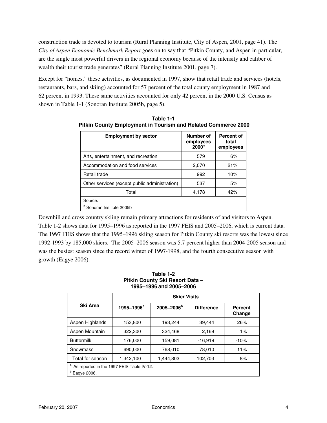construction trade is devoted to tourism (Rural Planning Institute, City of Aspen, 2001, page 41). The *City of Aspen Economic Benchmark Report* goes on to say that "Pitkin County, and Aspen in particular, are the single most powerful drivers in the regional economy because of the intensity and caliber of wealth their tourist trade generates" (Rural Planning Institute 2001, page 7).

Except for "homes," these activities, as documented in 1997, show that retail trade and services (hotels, restaurants, bars, and skiing) accounted for 57 percent of the total county employment in 1987 and 62 percent in 1993. These same activities accounted for only 42 percent in the 2000 U.S. Census as shown in Table 1-1 (Sonoran Institute 2005b, page 5).

| <b>Employment by sector</b>                   | Number of<br>employees<br>$2000^a$ | <b>Percent of</b><br>total<br>employees |
|-----------------------------------------------|------------------------------------|-----------------------------------------|
| Arts, entertainment, and recreation           | 579                                | 6%                                      |
| Accommodation and food services               | 2,070                              | 21%                                     |
| Retail trade                                  | 992                                | 10%                                     |
| Other services (except public administration) | 537                                | 5%                                      |
| Total                                         | 4,178                              | 42%                                     |
| Source:                                       |                                    |                                         |
| Sonoran Institute 2005b                       |                                    |                                         |

**Table 1-1 Pitkin County Employment in Tourism and Related Commerce 2000** 

Downhill and cross country skiing remain primary attractions for residents of and visitors to Aspen. Table 1-2 shows data for 1995–1996 as reported in the 1997 FEIS and 2005–2006, which is current data. The 1997 FEIS shows that the 1995–1996 skiing season for Pitkin County ski resorts was the lowest since 1992-1993 by 185,000 skiers. The 2005–2006 season was 5.7 percent higher than 2004-2005 season and was the busiest season since the record winter of 1997-1998, and the fourth consecutive season with growth (Eagye 2006).

#### **Table 1-2 Pitkin County Ski Resort Data – 1995–1996 and 2005–2006**

|                                                          | <b>Skier Visits</b>                              |           |                   |                          |  |  |  |  |  |  |  |
|----------------------------------------------------------|--------------------------------------------------|-----------|-------------------|--------------------------|--|--|--|--|--|--|--|
| Ski Area                                                 | 2005-2006 <sup>b</sup><br>1995-1996 <sup>a</sup> |           | <b>Difference</b> | <b>Percent</b><br>Change |  |  |  |  |  |  |  |
| Aspen Highlands                                          | 153,800                                          | 193,244   | 39,444            | 26%                      |  |  |  |  |  |  |  |
| Aspen Mountain                                           | 322,300                                          | 324,468   | 2,168             | $1\%$                    |  |  |  |  |  |  |  |
| <b>Buttermilk</b>                                        | 176,000                                          | 159,081   | $-16,919$         | $-10%$                   |  |  |  |  |  |  |  |
| Snowmass                                                 | 690,000                                          | 768,010   | 78,010            | 11%                      |  |  |  |  |  |  |  |
| Total for season                                         | 1,342,100                                        | 1,444,803 | 102,703           | 8%                       |  |  |  |  |  |  |  |
| As reported in the 1997 FEIS Table IV-12.<br>Eagye 2006. |                                                  |           |                   |                          |  |  |  |  |  |  |  |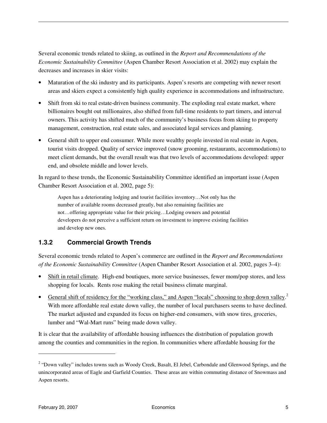Several economic trends related to skiing, as outlined in the *Report and Recommendations of the Economic Sustainability Committee* (Aspen Chamber Resort Association et al. 2002) may explain the decreases and increases in skier visits:

- Maturation of the ski industry and its participants. Aspen's resorts are competing with newer resort areas and skiers expect a consistently high quality experience in accommodations and infrastructure.
- Shift from ski to real estate-driven business community. The exploding real estate market, where billionaires bought out millionaires, also shifted from full-time residents to part timers, and interval owners. This activity has shifted much of the community's business focus from skiing to property management, construction, real estate sales, and associated legal services and planning.
- General shift to upper end consumer. While more wealthy people invested in real estate in Aspen, tourist visits dropped. Quality of service improved (snow grooming, restaurants, accommodations) to meet client demands, but the overall result was that two levels of accommodations developed: upper end, and obsolete middle and lower levels.

In regard to these trends, the Economic Sustainability Committee identified an important issue (Aspen Chamber Resort Association et al. 2002, page 5):

Aspen has a deteriorating lodging and tourist facilities inventory…Not only has the number of available rooms decreased greatly, but also remaining facilities are not…offering appropriate value for their pricing…Lodging owners and potential developers do not perceive a sufficient return on investment to improve existing facilities and develop new ones.

### **1.3.2 Commercial Growth Trends**

Several economic trends related to Aspen's commerce are outlined in the *Report and Recommendations of the Economic Sustainability Committee* (Aspen Chamber Resort Association et al. 2002, pages 3–4):

- Shift in retail climate. High-end boutiques, more service businesses, fewer mom/pop stores, and less shopping for locals. Rents rose making the retail business climate marginal.
- General shift of residency for the "working class," and Aspen "locals" choosing to shop down valley.<sup>2</sup> With more affordable real estate down valley, the number of local purchasers seems to have declined. The market adjusted and expanded its focus on higher-end consumers, with snow tires, groceries, lumber and "Wal-Mart runs" being made down valley.

It is clear that the availability of affordable housing influences the distribution of population growth among the counties and communities in the region. In communities where affordable housing for the

 $\overline{a}$ 

<sup>&</sup>lt;sup>2</sup> "Down valley" includes towns such as Woody Creek, Basalt, El Jebel, Carbondale and Glenwood Springs, and the unincorporated areas of Eagle and Garfield Counties. These areas are within commuting distance of Snowmass and Aspen resorts.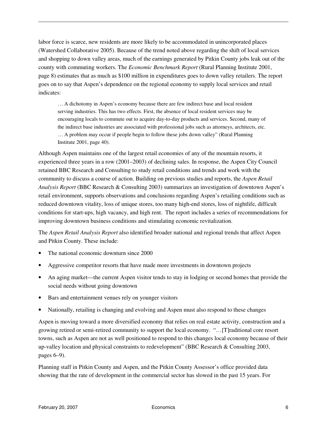labor force is scarce, new residents are more likely to be accommodated in unincorporated places (Watershed Collaborative 2005). Because of the trend noted above regarding the shift of local services and shopping to down valley areas, much of the earnings generated by Pitkin County jobs leak out of the county with commuting workers. The *Economic Benchmark Report* (Rural Planning Institute 2001, page 8) estimates that as much as \$100 million in expenditures goes to down valley retailers. The report goes on to say that Aspen's dependence on the regional economy to supply local services and retail indicates:

… A dichotomy in Aspen's economy because there are few indirect base and local resident serving industries. This has two effects. First, the absence of local resident services may be encouraging locals to commute out to acquire day-to-day products and services. Second, many of the indirect base industries are associated with professional jobs such as attorneys, architects, etc. … A problem may occur if people begin to follow these jobs down valley" (Rural Planning Institute 2001, page 40).

Although Aspen maintains one of the largest retail economies of any of the mountain resorts, it experienced three years in a row (2001–2003) of declining sales. In response, the Aspen City Council retained BBC Research and Consulting to study retail conditions and trends and work with the community to discuss a course of action. Building on previous studies and reports, the *Aspen Retail Analysis Report* (BBC Research & Consulting 2003) summarizes an investigation of downtown Aspen's retail environment, supports observations and conclusions regarding Aspen's retailing conditions such as reduced downtown vitality, loss of unique stores, too many high-end stores, loss of nightlife, difficult conditions for start-ups, high vacancy, and high rent. The report includes a series of recommendations for improving downtown business conditions and stimulating economic revitalization.

The *Aspen Retail Analysis Report* also identified broader national and regional trends that affect Aspen and Pitkin County. These include:

- The national economic downturn since 2000
- Aggressive competitor resorts that have made more investments in downtown projects
- An aging market—the current Aspen visitor tends to stay in lodging or second homes that provide the social needs without going downtown
- Bars and entertainment venues rely on younger visitors
- Nationally, retailing is changing and evolving and Aspen must also respond to these changes

Aspen is moving toward a more diversified economy that relies on real estate activity, construction and a growing retired or semi-retired community to support the local economy. "…[T]raditional core resort towns, such as Aspen are not as well positioned to respond to this changes local economy because of their up-valley location and physical constraints to redevelopment" (BBC Research & Consulting 2003, pages 6–9).

Planning staff in Pitkin County and Aspen, and the Pitkin County Assessor's office provided data showing that the rate of development in the commercial sector has slowed in the past 15 years. For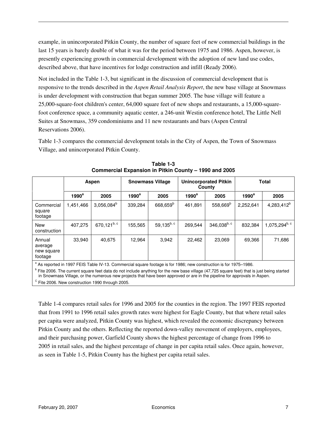example, in unincorporated Pitkin County, the number of square feet of new commercial buildings in the last 15 years is barely double of what it was for the period between 1975 and 1986. Aspen, however, is presently experiencing growth in commercial development with the adoption of new land use codes, described above, that have incentives for lodge construction and infill (Ready 2006).

Not included in the Table 1-3, but significant in the discussion of commercial development that is responsive to the trends described in the *Aspen Retail Analysis Report*, the new base village at Snowmass is under development with construction that began summer 2005. The base village will feature a 25,000-square-foot children's center, 64,000 square feet of new shops and restaurants, a 15,000-squarefoot conference space, a community aquatic center, a 246-unit Westin conference hotel, The Little Nell Suites at Snowmass, 359 condominiums and 11 new restaurants and bars (Aspen Central Reservations 2006).

Table 1-3 compares the commercial development totals in the City of Aspen, the Town of Snowmass Village, and unincorporated Pitkin County.

|                                            | Aspen             |                |                   | <b>Snowmass Village</b> |                   | <b>Unincorporated Pitkin</b><br>County | <b>Total</b>      |                                       |  |
|--------------------------------------------|-------------------|----------------|-------------------|-------------------------|-------------------|----------------------------------------|-------------------|---------------------------------------|--|
|                                            | 1990 <sup>a</sup> | 2005           | 1990 <sup>a</sup> | 2005                    | 1990 <sup>a</sup> | 2005                                   | 1990 <sup>a</sup> | 2005                                  |  |
| Commercial<br>square<br>footage            | 1,451,466         | $3,056,084^b$  | 339,284           | 668,659 <sup>b</sup>    | 461,891           | 558,669 <sup>b</sup>                   | 2,252,641         | $4,283,412^{b}$                       |  |
| New<br>construction                        | 407,275           | 670,121 $b, c$ | 155,565           | 59,135b, c              | 269,544           | $346,038^{\mathrm{b, \, c}}$           | 832,384           | $1,075,294^{\mathsf{b},\,\mathsf{c}}$ |  |
| Annual<br>average<br>new square<br>footage | 33,940            | 40,675         | 12.964            | 3,942                   | 22.462            | 23.069                                 | 69,366            | 71,686                                |  |

**Table 1-3 Commercial Expansion in Pitkin County – 1990 and 2005** 

<sup>a</sup> As reported in 1997 FEIS Table IV-13. Commercial square footage is for 1986; new construction is for 1975–1986.

<sup>b</sup> Fite 2006. The current square feet data do not include anything for the new base village (47,725 square feet) that is just being started in Snowmass Village, or the numerous new projects that have been approved or are in the pipeline for approvals in Aspen.  $\textdegree$  Fite 2006. New construction 1990 through 2005.

Table 1-4 compares retail sales for 1996 and 2005 for the counties in the region. The 1997 FEIS reported that from 1991 to 1996 retail sales growth rates were highest for Eagle County, but that where retail sales per capita were analyzed, Pitkin County was highest, which revealed the economic discrepancy between Pitkin County and the others. Reflecting the reported down-valley movement of employers, employees, and their purchasing power, Garfield County shows the highest percentage of change from 1996 to 2005 in retail sales, and the highest percentage of change in per capita retail sales. Once again, however, as seen in Table 1-5, Pitkin County has the highest per capita retail sales.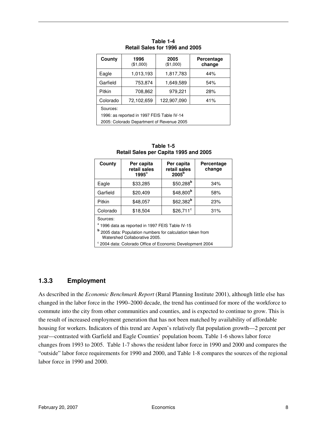| County                                                                                              | 1996<br>(\$1,000) | 2005<br>(\$1,000) | Percentage<br>change |  |  |  |  |  |
|-----------------------------------------------------------------------------------------------------|-------------------|-------------------|----------------------|--|--|--|--|--|
| Eagle                                                                                               | 1,013,193         | 1,817,783         | 44%                  |  |  |  |  |  |
| Garfield                                                                                            | 753,874           | 1,649,589         | 54%                  |  |  |  |  |  |
| Pitkin                                                                                              | 708,862           | 979,221           | 28%                  |  |  |  |  |  |
| 122,907,090<br>Colorado<br>72,102,659<br>41%                                                        |                   |                   |                      |  |  |  |  |  |
| Sources:<br>1996: as reported in 1997 FEIS Table IV-14<br>2005: Colorado Department of Revenue 2005 |                   |                   |                      |  |  |  |  |  |

|                                | Table 1-4 |  |  |  |  |  |  |  |  |  |  |
|--------------------------------|-----------|--|--|--|--|--|--|--|--|--|--|
| Retail Sales for 1996 and 2005 |           |  |  |  |  |  |  |  |  |  |  |

| County                                                                                                 | Per capita<br>retail sales<br>$1995^a$                    | Per capita<br>retail sales<br>2005 <sup>b</sup> | Percentage<br>change |  |  |  |  |  |  |  |
|--------------------------------------------------------------------------------------------------------|-----------------------------------------------------------|-------------------------------------------------|----------------------|--|--|--|--|--|--|--|
| Eagle                                                                                                  | \$33,285                                                  | $$50,288^b$                                     | 34%                  |  |  |  |  |  |  |  |
| Garfield                                                                                               | \$20,409                                                  | $$48,800^b$                                     | 58%                  |  |  |  |  |  |  |  |
| Pitkin                                                                                                 | \$48,057                                                  | \$62,382 <sup>b</sup>                           | 23%                  |  |  |  |  |  |  |  |
| Colorado                                                                                               | \$18,504                                                  | $$26,711^{\circ}$                               | 31%                  |  |  |  |  |  |  |  |
| Sources:<br><sup>a</sup> 1996 data as reported in 1997 FEIS Table IV-15                                |                                                           |                                                 |                      |  |  |  |  |  |  |  |
| <sup>b</sup> 2005 data: Population numbers for calculation taken from<br>Watershed Collaborative 2005. |                                                           |                                                 |                      |  |  |  |  |  |  |  |
|                                                                                                        | ° 2004 data: Colorado Office of Economic Development 2004 |                                                 |                      |  |  |  |  |  |  |  |

**Table 1-5 Retail Sales per Capita 1995 and 2005** 

### **1.3.3 Employment**

As described in the *Economic Benchmark Report* (Rural Planning Institute 2001), although little else has changed in the labor force in the 1990–2000 decade, the trend has continued for more of the workforce to commute into the city from other communities and counties, and is expected to continue to grow. This is the result of increased employment generation that has not been matched by availability of affordable housing for workers. Indicators of this trend are Aspen's relatively flat population growth—2 percent per year—contrasted with Garfield and Eagle Counties' population boom. Table 1-6 shows labor force changes from 1993 to 2005. Table 1-7 shows the resident labor force in 1990 and 2000 and compares the "outside" labor force requirements for 1990 and 2000, and Table 1-8 compares the sources of the regional labor force in 1990 and 2000.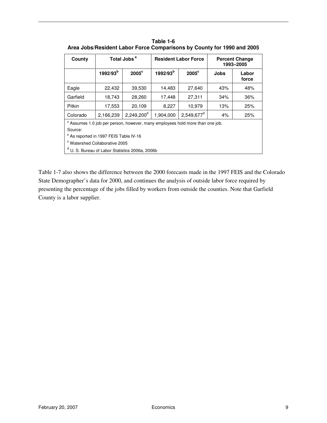| County                                                                                                                                                   |                      | Total Jobs <sup>a</sup> |                      | <b>Resident Labor Force</b> | <b>Percent Change</b><br>1993-2005 |                |  |  |  |
|----------------------------------------------------------------------------------------------------------------------------------------------------------|----------------------|-------------------------|----------------------|-----------------------------|------------------------------------|----------------|--|--|--|
|                                                                                                                                                          | 1992/93 <sup>b</sup> | $2005^{\circ}$          | 1992/93 <sup>b</sup> | $2005^{\circ}$              | <b>Jobs</b>                        | Labor<br>force |  |  |  |
| Eagle                                                                                                                                                    | 22,432               | 39,530                  | 14,483               | 27,640                      | 43%                                | 48%            |  |  |  |
| Garfield                                                                                                                                                 | 18,743<br>28,260     |                         |                      | 27,311                      | 34%                                | 36%            |  |  |  |
| <b>Pitkin</b><br>17,553                                                                                                                                  |                      | 20,109                  | 8,227<br>10,979      |                             | 13%                                | 25%            |  |  |  |
| Colorado                                                                                                                                                 | 2,166,239            | $2,249,200^d$           | 1,904,000            | 2,549,677 <sup>d</sup>      | 4%                                 | 25%            |  |  |  |
| <sup>a</sup> Assumes 1.0 job per person, however, many employees hold more than one job.<br>Source:<br><sup>b</sup> As reported in 1997 FEIS Table IV-16 |                      |                         |                      |                             |                                    |                |  |  |  |
| <sup>c</sup> Watershed Collaborative 2005<br><sup>d</sup> U. S. Bureau of Labor Statistics 2006a, 2006b                                                  |                      |                         |                      |                             |                                    |                |  |  |  |

**Table 1-6 Area Jobs/Resident Labor Force Comparisons by County for 1990 and 2005** 

Table 1-7 also shows the difference between the 2000 forecasts made in the 1997 FEIS and the Colorado State Demographer's data for 2000, and continues the analysis of outside labor force required by presenting the percentage of the jobs filled by workers from outside the counties. Note that Garfield County is a labor supplier.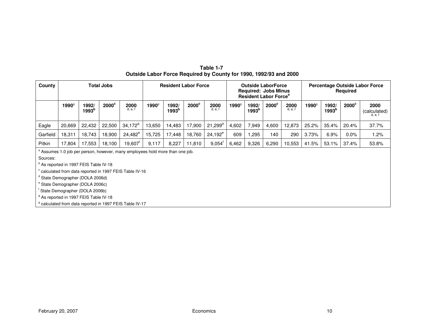| Table 1-7                                                         |  |  |  |  |  |  |  |
|-------------------------------------------------------------------|--|--|--|--|--|--|--|
| Outside Labor Force Required by County for 1990, 1992/93 and 2000 |  |  |  |  |  |  |  |

| County                                                   | <b>Total Jobs</b>                                 |                            |                |                                                                             | <b>Resident Labor Force</b> |                            |                | <b>Outside LaborForce</b><br><b>Required: Jobs Minus</b><br><b>Resident Labor Force<sup>a</sup></b> |                   |                            |                | Percentage Outside Labor Force<br><b>Required</b> |                   |                            |                |                                 |
|----------------------------------------------------------|---------------------------------------------------|----------------------------|----------------|-----------------------------------------------------------------------------|-----------------------------|----------------------------|----------------|-----------------------------------------------------------------------------------------------------|-------------------|----------------------------|----------------|---------------------------------------------------|-------------------|----------------------------|----------------|---------------------------------|
|                                                          | 1990 <sup>9</sup>                                 | 1992/<br>1993 <sup>b</sup> | $2000^{\circ}$ | 2000<br>d, e, f                                                             | 1990 <sup>9</sup>           | 1992/<br>1993 <sup>b</sup> | $2000^{\circ}$ | 2000<br>d, e, f                                                                                     | 1990 <sup>g</sup> | 1992/<br>1993 <sup>b</sup> | $2000^{\circ}$ | 2000<br>d, e, f                                   | 1990 <sup>g</sup> | 1992/<br>1993 <sup>b</sup> | $2000^{\circ}$ | 2000<br>(calculated)<br>d, e, i |
| Eagle                                                    | 20,669                                            | 22,432                     | 22,500         | $34,172^{d}$                                                                | 13,650                      | 14,483                     | 17,900         | $21,299^d$                                                                                          | 4,602             | 7,949                      | 4,600          | 12,873                                            | 25.2%             | 35.4%                      | 20.4%          | 37.7%                           |
| Garfield                                                 | 18,311                                            | 18,743                     | 18,900         | $24,482^e$                                                                  | 15,725                      | 17,448                     | 18,760         | $24,192^e$                                                                                          | 609               | ,295                       | 140            | 290                                               | 3.73%             | 6.9%                       | $0.0\%$        | 1.2%                            |
| Pitkin                                                   | 17,804                                            | 17,553                     | 18,100         | $19,607$ <sup>r</sup>                                                       | 9,117                       | 8,227                      | 11,810         | $9,054^t$                                                                                           | 6,462             | 9,326                      | 6,290          | 10,553                                            | 41.5%             | 53.1%                      | 37.4%          | 53.8%                           |
|                                                          |                                                   |                            |                | Assumes 1.0 job per person, however, many employees hold more than one job. |                             |                            |                |                                                                                                     |                   |                            |                |                                                   |                   |                            |                |                                 |
| Sources:                                                 |                                                   |                            |                |                                                                             |                             |                            |                |                                                                                                     |                   |                            |                |                                                   |                   |                            |                |                                 |
|                                                          | <sup>o</sup> As reported in 1997 FEIS Table IV-18 |                            |                |                                                                             |                             |                            |                |                                                                                                     |                   |                            |                |                                                   |                   |                            |                |                                 |
| ° calculated from data reported in 1997 FEIS Table IV-16 |                                                   |                            |                |                                                                             |                             |                            |                |                                                                                                     |                   |                            |                |                                                   |                   |                            |                |                                 |
|                                                          | <sup>d</sup> State Demographer (DOLA 2006d)       |                            |                |                                                                             |                             |                            |                |                                                                                                     |                   |                            |                |                                                   |                   |                            |                |                                 |
|                                                          | <sup>e</sup> State Demographer (DOLA 2006c)       |                            |                |                                                                             |                             |                            |                |                                                                                                     |                   |                            |                |                                                   |                   |                            |                |                                 |

<sup>f</sup> State Demographer (DOLA 2006b)

<sup>g</sup> As reported in 1997 FEIS Table IV-18

<sup>g</sup> calculated from data reported in 1997 FEIS Table IV-17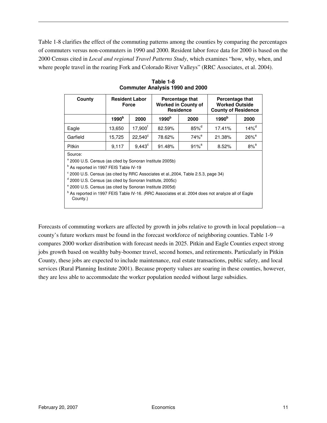Table 1-8 clarifies the effect of the commuting patterns among the counties by comparing the percentages of commuters versus non-commuters in 1990 and 2000. Resident labor force data for 2000 is based on the 2000 Census cited in *Local and regional Travel Patterns Study*, which examines "how, why, when, and where people travel in the roaring Fork and Colorado River Valleys" (RRC Associates, et al. 2004).

| County                                                                                                                                                                                                                                                                                                                                                                                                                                                                                    | <b>Resident Labor</b><br><b>Force</b> |                    | <b>Percentage that</b><br><b>Worked in County of</b><br><b>Residence</b> |                     | Percentage that<br><b>Worked Outside</b><br><b>County of Residence</b> |                     |  |
|-------------------------------------------------------------------------------------------------------------------------------------------------------------------------------------------------------------------------------------------------------------------------------------------------------------------------------------------------------------------------------------------------------------------------------------------------------------------------------------------|---------------------------------------|--------------------|--------------------------------------------------------------------------|---------------------|------------------------------------------------------------------------|---------------------|--|
|                                                                                                                                                                                                                                                                                                                                                                                                                                                                                           | 1990 <sup>b</sup>                     | 2000               | 1990 <sup>b</sup>                                                        | 2000                | 1990 <sup>b</sup>                                                      | 2000                |  |
| Eagle                                                                                                                                                                                                                                                                                                                                                                                                                                                                                     | 13,650                                | $17,900^{\dagger}$ | 82.59%                                                                   | $85\%$ <sup>d</sup> | 17.41%                                                                 | $14\%$ <sup>d</sup> |  |
| Garfield                                                                                                                                                                                                                                                                                                                                                                                                                                                                                  | 15,725                                | $22,540^{\circ}$   | 78.62%                                                                   | $74\%$ <sup>e</sup> | 21.38%                                                                 | $26\%$ <sup>e</sup> |  |
| Pitkin                                                                                                                                                                                                                                                                                                                                                                                                                                                                                    | 9,117                                 | $9,443^{\circ}$    | 91.48%                                                                   | $91%$ <sup>a</sup>  | 8.52%                                                                  | $8\%$ <sup>a</sup>  |  |
| Source:<br><sup>a</sup> 2000 U.S. Census (as cited by Sonoran Institute 2005b)<br><sup>b</sup> As reported in 1997 FEIS Table IV-19<br>° 2000 U.S. Census (as cited by RRC Associates et al., 2004, Table 2.5.3, page 34)<br>d 2000 U.S. Census (as cited by Sonoran Institute, 2005c)<br><sup>e</sup> 2000 U.S. Census (as cited by Sonoran Institute 2005d)<br><sup>b</sup> As reported in 1997 FEIS Table IV-16. (RRC Associates et al. 2004 does not analyze all of Eagle<br>County.) |                                       |                    |                                                                          |                     |                                                                        |                     |  |

**Table 1-8 Commuter Analysis 1990 and 2000** 

Forecasts of commuting workers are affected by growth in jobs relative to growth in local population—a county's future workers must be found in the forecast workforce of neighboring counties. Table 1-9 compares 2000 worker distribution with forecast needs in 2025. Pitkin and Eagle Counties expect strong jobs growth based on wealthy baby-boomer travel, second homes, and retirements. Particularly in Pitkin County, these jobs are expected to include maintenance, real estate transactions, public safety, and local services (Rural Planning Institute 2001). Because property values are soaring in these counties, however, they are less able to accommodate the worker population needed without large subsidies.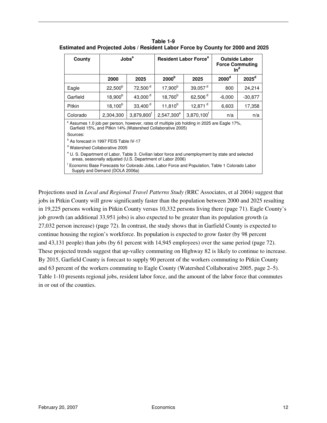| County                                                                                                                                                                     | $\mathsf{Jobs}^a$                                                                                                                                                     |                        | <b>Resident Labor Force<sup>a</sup></b> |                        | <b>Outside Labor</b><br><b>Force Commuting</b><br>$In^d$ |                   |  |
|----------------------------------------------------------------------------------------------------------------------------------------------------------------------------|-----------------------------------------------------------------------------------------------------------------------------------------------------------------------|------------------------|-----------------------------------------|------------------------|----------------------------------------------------------|-------------------|--|
|                                                                                                                                                                            | 2000                                                                                                                                                                  | 2025                   | 2000 <sup>b</sup>                       | 2025                   | 2000 <sup>d</sup>                                        | 2025 <sup>d</sup> |  |
| Eagle                                                                                                                                                                      | $22,500^b$                                                                                                                                                            | 72,500 <sup>d</sup>    | $17,900^{b}$                            | $39,057$ <sup>d</sup>  | 800                                                      | 24,214            |  |
| Garfield                                                                                                                                                                   | $18,900^{\rm b}$                                                                                                                                                      | 43,000 <sup>d</sup>    | $18,760^{b}$                            | 62,506 <sup>d</sup>    | $-6,000$                                                 | $-30,877$         |  |
| Pitkin                                                                                                                                                                     | $18,100^{b}$                                                                                                                                                          | 33,400 $d$             | $11,810^{b}$                            | 12,871 <sup>d</sup>    | 6,603                                                    | 17,358            |  |
| Colorado                                                                                                                                                                   | 2,304,300                                                                                                                                                             | 3,879,800 <sup>f</sup> | $2,547,300^e$                           | 3,870,100 <sup>f</sup> | n/a                                                      | n/a               |  |
|                                                                                                                                                                            | <sup>a</sup> Assumes 1.0 job per person, however, rates of multiple job holding in 2025 are Eagle 17%,<br>Garfield 15%, and Pitkin 14% (Watershed Collaborative 2005) |                        |                                         |                        |                                                          |                   |  |
| Sources:                                                                                                                                                                   |                                                                                                                                                                       |                        |                                         |                        |                                                          |                   |  |
| <sup>b</sup> As forecast in 1997 FEIS Table IV-17                                                                                                                          |                                                                                                                                                                       |                        |                                         |                        |                                                          |                   |  |
| <sup>d</sup> Watershed Collaborative 2005                                                                                                                                  |                                                                                                                                                                       |                        |                                         |                        |                                                          |                   |  |
| <sup>e</sup> U. S. Department of Labor, Table 3. Civilian labor force and unemployment by state and selected<br>areas, seasonally adjusted (U.S. Department of Labor 2006) |                                                                                                                                                                       |                        |                                         |                        |                                                          |                   |  |
| Economic Base Forecasts for Colorado Jobs, Labor Force and Population, Table 1 Colorado Labor<br>Supply and Demand (DOLA 2006a)                                            |                                                                                                                                                                       |                        |                                         |                        |                                                          |                   |  |

**Table 1-9 Estimated and Projected Jobs / Resident Labor Force by County for 2000 and 2025** 

Projections used in *Local and Regional Travel Patterns Study (*RRC Associates, et al 2004*)* suggest that jobs in Pitkin County will grow significantly faster than the population between 2000 and 2025 resulting in 19,225 persons working in Pitkin County versus 10,332 persons living there (page 71). Eagle County's job growth (an additional 33,951 jobs) is also expected to be greater than its population growth (a 27,032 person increase) (page 72). In contrast, the study shows that in Garfield County is expected to continue housing the region's workforce. Its population is expected to grow faster (by 98 percent and 43,131 people) than jobs (by 61 percent with 14,945 employees) over the same period (page 72). These projected trends suggest that up-valley commuting on Highway 82 is likely to continue to increase. By 2015, Garfield County is forecast to supply 90 percent of the workers commuting to Pitkin County and 63 percent of the workers commuting to Eagle County (Watershed Collaborative 2005, page 2–5). Table 1-10 presents regional jobs, resident labor force, and the amount of the labor force that commutes in or out of the counties.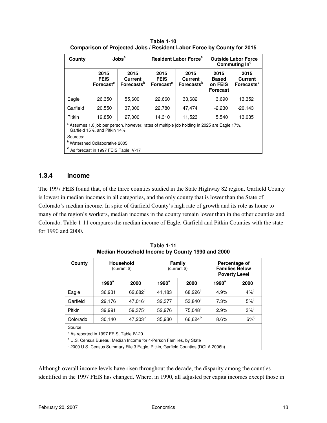| County                                                                                                                                 | Jobs <sup>a</sup>                            |                                                         | <b>Resident Labor Force<sup>a</sup></b>      |                                                  | <b>Outside Labor Force</b><br>Commuting In <sup>d</sup> |                                                  |  |
|----------------------------------------------------------------------------------------------------------------------------------------|----------------------------------------------|---------------------------------------------------------|----------------------------------------------|--------------------------------------------------|---------------------------------------------------------|--------------------------------------------------|--|
|                                                                                                                                        | 2015<br><b>FEIS</b><br>Forecast <sup>c</sup> | 2015<br><b>Current</b><br><b>Forecasts</b> <sup>b</sup> | 2015<br><b>FEIS</b><br>Forecast <sup>c</sup> | 2015<br><b>Current</b><br>Forecasts <sup>b</sup> | 2015<br><b>Based</b><br>on FEIS<br><b>Forecast</b>      | 2015<br><b>Current</b><br>Forecasts <sup>b</sup> |  |
| Eagle                                                                                                                                  | 26,350                                       | 55,600                                                  | 22,660                                       | 33,682                                           | 3,690                                                   | 13,352                                           |  |
| Garfield                                                                                                                               | 20,550                                       | 37,000                                                  | 22,780                                       | 47,474                                           | $-2,230$                                                | $-20,143$                                        |  |
| Pitkin                                                                                                                                 | 19,850                                       | 27,000                                                  | 14,310                                       | 11,523                                           | 5,540                                                   | 13,035                                           |  |
| <sup>a</sup> Assumes 1.0 job per person, however, rates of multiple job holding in 2025 are Eagle 17%,<br>Garfield 15%, and Pitkin 14% |                                              |                                                         |                                              |                                                  |                                                         |                                                  |  |
| Sources:                                                                                                                               |                                              |                                                         |                                              |                                                  |                                                         |                                                  |  |
|                                                                                                                                        | <sup>b</sup> Watershed Collaborative 2005    |                                                         |                                              |                                                  |                                                         |                                                  |  |

**Table 1-10 Comparison of Projected Jobs / Resident Labor Force by County for 2015** 

**c** As forecast in 1997 FEIS Table IV-17

### **1.3.4 Income**

The 1997 FEIS found that, of the three counties studied in the State Highway 82 region, Garfield County is lowest in median incomes in all categories, and the only county that is lower than the State of Colorado's median income. In spite of Garfield County's high rate of growth and its role as home to many of the region's workers, median incomes in the county remain lower than in the other counties and Colorado. Table 1-11 compares the median income of Eagle, Garfield and Pitkin Counties with the state for 1990 and 2000.

| County                                                                          | Household<br>(current \$) |                  | Family<br>(current \$) |                     | Percentage of<br><b>Families Below</b><br><b>Poverty Level</b> |                    |  |
|---------------------------------------------------------------------------------|---------------------------|------------------|------------------------|---------------------|----------------------------------------------------------------|--------------------|--|
|                                                                                 | $1990^a$                  | 2000             | $1990^a$               | 2000                | $1990^a$                                                       | 2000               |  |
| Eagle                                                                           | 36,931                    | $62,682^{\circ}$ | 41,183                 | $68,226^{\circ}$    | 4.9%                                                           | $4\%$ <sup>c</sup> |  |
| Garfield                                                                        | 29,176                    | $47,016^c$       | 32,377                 | $53,840^{\circ}$    | 7.3%                                                           | $5\%$ <sup>c</sup> |  |
| Pitkin                                                                          | 39,991                    | $59,375^\circ$   | 52,976                 | $75,048^{\circ}$    | 2.9%                                                           | $3\%$              |  |
| Colorado                                                                        | 30,140                    | $47,203^b$       | 35,930                 | 66,624 <sup>b</sup> | 8.6%                                                           | $6\%$ <sup>b</sup> |  |
| Source:                                                                         |                           |                  |                        |                     |                                                                |                    |  |
| <sup>a</sup> As reported in 1997 FEIS, Table IV-20                              |                           |                  |                        |                     |                                                                |                    |  |
| <sup>b</sup> U.S. Census Bureau, Median Income for 4-Person Families, by State  |                           |                  |                        |                     |                                                                |                    |  |
| ° 2000 U.S. Census Summary File 3 Eagle, Pitkin, Garfield Counties (DOLA 2006h) |                           |                  |                        |                     |                                                                |                    |  |

**Table 1-11 Median Household Income by County 1990 and 2000** 

Although overall income levels have risen throughout the decade, the disparity among the counties identified in the 1997 FEIS has changed. Where, in 1990, all adjusted per capita incomes except those in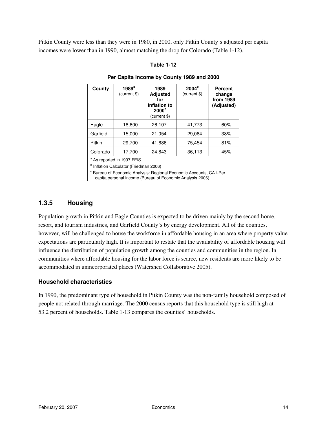Pitkin County were less than they were in 1980, in 2000, only Pitkin County's adjusted per capita incomes were lower than in 1990, almost matching the drop for Colorado (Table 1-12).

#### **Table 1-12**

| County                                                                        | $1989^a$<br>(current \$) | 1989<br><b>Adjusted</b><br>for<br>inflation to<br>2000 <sup>b</sup><br>(current \$) | $2004^{\circ}$<br>(current \$) | <b>Percent</b><br>change<br>from 1989<br>(Adjusted) |  |  |
|-------------------------------------------------------------------------------|--------------------------|-------------------------------------------------------------------------------------|--------------------------------|-----------------------------------------------------|--|--|
| Eagle                                                                         | 18,600                   | 26,107                                                                              | 41,773                         | 60%                                                 |  |  |
| Garfield                                                                      | 15,000                   | 21,054                                                                              | 29,064                         | 38%                                                 |  |  |
| Pitkin                                                                        | 29,700                   | 41,686                                                                              | 75,454                         | 81%                                                 |  |  |
| Colorado                                                                      | 17,700                   | 24,843                                                                              | 36,113                         | 45%                                                 |  |  |
| <sup>a</sup> As reported in 1997 FEIS                                         |                          |                                                                                     |                                |                                                     |  |  |
| <sup>b</sup> Inflation Calculator (Friedman 2006)                             |                          |                                                                                     |                                |                                                     |  |  |
| <sup>c</sup> Bureau of Economic Analysis: Regional Economic Accounts, CA1-Per |                          |                                                                                     |                                |                                                     |  |  |

#### **Per Capita Income by County 1989 and 2000**

capita personal income (Bureau of Economic Analysis 2006)

### **1.3.5 Housing**

Population growth in Pitkin and Eagle Counties is expected to be driven mainly by the second home, resort, and tourism industries, and Garfield County's by energy development. All of the counties, however, will be challenged to house the workforce in affordable housing in an area where property value expectations are particularly high. It is important to restate that the availability of affordable housing will influence the distribution of population growth among the counties and communities in the region. In communities where affordable housing for the labor force is scarce, new residents are more likely to be accommodated in unincorporated places (Watershed Collaborative 2005).

#### **Household characteristics**

In 1990, the predominant type of household in Pitkin County was the non-family household composed of people not related through marriage. The 2000 census reports that this household type is still high at 53.2 percent of households. Table 1-13 compares the counties' households.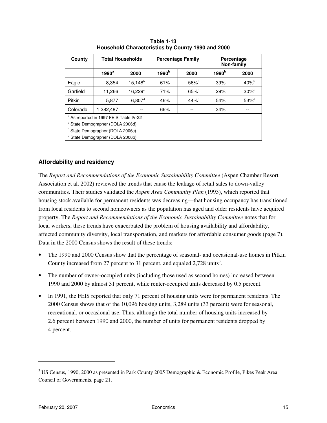| County                                      | <b>Total Households</b>                           |                  | <b>Percentage Family</b> |                | Percentage<br>Non-family |                     |  |  |
|---------------------------------------------|---------------------------------------------------|------------------|--------------------------|----------------|--------------------------|---------------------|--|--|
|                                             | $1990^a$                                          | 2000             | 1990 <sup>b</sup>        | 2000           | 1990 <sup>b</sup>        | 2000                |  |  |
| Eagle                                       | 8,354                                             | $15,148^b$       | 61%                      | $56\%^{\rm b}$ | 39%                      | $40\%^{\rm b}$      |  |  |
| Garfield                                    | 11,266                                            | $16,229^{\circ}$ | 71%                      | $65\%$         | 29%                      | $30\%$ <sup>c</sup> |  |  |
| Pitkin                                      | 5,877                                             | $6,807^d$        | 46%                      | $44\%^{d}$     | 54%                      | $53\%$ <sup>d</sup> |  |  |
| Colorado                                    | 1,282,487                                         |                  | 66%                      | --             | 34%                      |                     |  |  |
|                                             | <sup>a</sup> As reported in 1997 FEIS Table IV-22 |                  |                          |                |                          |                     |  |  |
| <sup>b</sup> State Demographer (DOLA 2006d) |                                                   |                  |                          |                |                          |                     |  |  |
|                                             | <sup>c</sup> State Demographer (DOLA 2006c)       |                  |                          |                |                          |                     |  |  |
|                                             | <sup>d</sup> State Demographer (DOLA 2006b)       |                  |                          |                |                          |                     |  |  |

**Table 1-13 Household Characteristics by County 1990 and 2000** 

### **Affordability and residency**

The *Report and Recommendations of the Economic Sustainability Committee* (Aspen Chamber Resort Association et al. 2002) reviewed the trends that cause the leakage of retail sales to down-valley communities. Their studies validated the *Aspen Area Community Plan* (1993), which reported that housing stock available for permanent residents was decreasing—that housing occupancy has transitioned from local residents to second homeowners as the population has aged and older residents have acquired property. The *Report and Recommendations of the Economic Sustainability Committee* notes that for local workers, these trends have exacerbated the problem of housing availability and affordability, affected community diversity, local transportation, and markets for affordable consumer goods (page 7). Data in the 2000 Census shows the result of these trends:

- The 1990 and 2000 Census show that the percentage of seasonal- and occasional-use homes in Pitkin County increased from 27 percent to 31 percent, and equaled  $2,728$  units<sup>3</sup>.
- The number of owner-occupied units (including those used as second homes) increased between 1990 and 2000 by almost 31 percent, while renter-occupied units decreased by 0.5 percent.
- In 1991, the FEIS reported that only 71 percent of housing units were for permanent residents. The 2000 Census shows that of the 10,096 housing units, 3,289 units (33 percent) were for seasonal, recreational, or occasional use. Thus, although the total number of housing units increased by 2.6 percent between 1990 and 2000, the number of units for permanent residents dropped by 4 percent.

 $\overline{a}$ 

<sup>&</sup>lt;sup>3</sup> US Census, 1990, 2000 as presented in Park County 2005 Demographic & Economic Profile, Pikes Peak Area Council of Governments, page 21.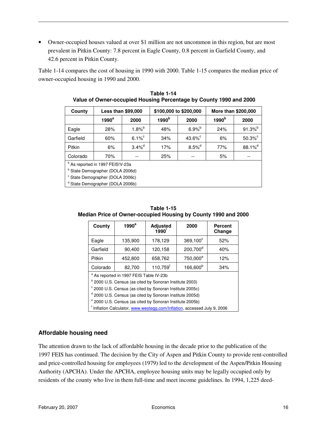• Owner-occupied houses valued at over \$1 million are not uncommon in this region, but are most prevalent in Pitkin County: 7.8 percent in Eagle County, 0.8 percent in Garfield County, and 42.6 percent in Pitkin County.

Table 1-14 compares the cost of housing in 1990 with 2000. Table 1-15 compares the median price of owner-occupied housing in 1990 and 2000.

| County                                      | <b>Less than \$99,000</b>                   |                      | \$100,000 to \$200,000 |                       | More than \$200,000 |                    |
|---------------------------------------------|---------------------------------------------|----------------------|------------------------|-----------------------|---------------------|--------------------|
|                                             | $1990^a$                                    | 2000                 | 1990 <sup>b</sup>      | 2000                  | 1990 <sup>b</sup>   | 2000               |
| Eagle                                       | 28%                                         | $1.8\%$ <sup>b</sup> | 48%                    | $6.9%^{b}$            | 24%                 | $91.3\%$           |
| Garfield                                    | 60%                                         | $6.1\%^c$            | 34%                    | $43.6\%$ <sup>c</sup> | 6%                  | $50.3\%$           |
| Pitkin                                      | 6%                                          | $3.4\%$ <sup>d</sup> | 17%                    | $8.5%^{d}$            | 77%                 | 88.1% <sup>d</sup> |
| Colorado                                    | 70%                                         |                      | 25%                    |                       | 5%                  |                    |
|                                             | <sup>b</sup> As reported in 1997 FEIS!V-23a |                      |                        |                       |                     |                    |
| <sup>b</sup> State Demographer (DOLA 2006d) |                                             |                      |                        |                       |                     |                    |
| <sup>c</sup> State Demographer (DOLA 2006c) |                                             |                      |                        |                       |                     |                    |
|                                             | <sup>d</sup> State Demographer (DOLA 2006b) |                      |                        |                       |                     |                    |

**Table 1-14 Value of Owner-occupied Housing Percentage by County 1990 and 2000** 

| Table 1-15                                                     |
|----------------------------------------------------------------|
| Median Price of Owner-occupied Housing by County 1990 and 2000 |

| County                                             | $1990^a$ | <b>Adjusted</b><br>$1990$ <sup>f</sup> | 2000                 | <b>Percent</b><br>Change |  |
|----------------------------------------------------|----------|----------------------------------------|----------------------|--------------------------|--|
| Eagle                                              | 135,900  | 178,129                                | $369,100^{\circ}$    | 52%                      |  |
| Garfield                                           | 90,400   | 120,158                                | 200,700 <sup>d</sup> | 40%                      |  |
| Pitkin                                             | 452,800  | 658,762                                | 750,000 <sup>e</sup> | 12%                      |  |
| Colorado                                           | 82,700   | 110,759 <sup>f</sup>                   | 166,600 <sup>b</sup> | 34%                      |  |
| <sup>a</sup> As reported in 1997 FEIS Table IV-23b |          |                                        |                      |                          |  |

<sup>b</sup> 2000 U.S. Census (as cited by Sonoran Institute 2003)

<sup>c</sup> 2000 U.S. Census (as cited by Sonoran Institute 2005c)

<sup>d</sup> 2000 U.S. Census (as cited by Sonoran Institute 2005d)

e 2000 U.S. Census (as cited by Sonoran Institute 2005b)

<sup>f</sup> Inflation Calculator, www.westegg.com/Inflation, accessed July 9, 2006

#### **Affordable housing need**

The attention drawn to the lack of affordable housing in the decade prior to the publication of the 1997 FEIS has continued. The decision by the City of Aspen and Pitkin County to provide rent-controlled and price-controlled housing for employees (1979) led to the development of the Aspen/Pitkin Housing Authority (APCHA). Under the APCHA, employee housing units may be legally occupied only by residents of the county who live in them full-time and meet income guidelines. In 1994, 1,225 deed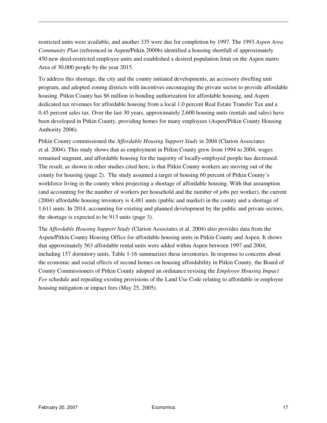restricted units were available, and another 335 were due for completion by 1997. The 1993 *Aspen Area Community Plan* (referenced in Aspen/Pitkin 2000b) identified a housing shortfall of approximately 450 new deed-restricted employee units and established a desired population limit on the Aspen metro Area of 30,000 people by the year 2015.

To address this shortage, the city and the county initiated developments, an accessory dwelling unit program, and adopted zoning districts with incentives encouraging the private sector to provide affordable housing. Pitkin County has \$6 million in bonding authorization for affordable housing, and Aspen dedicated tax revenues for affordable housing from a local 1.0 percent Real Estate Transfer Tax and a 0.45 percent sales tax. Over the last 30 years, approximately 2,600 housing units (rentals and sales) have been developed in Pitkin County, providing homes for many employees (Aspen/Pitkin County Housing Authority 2006).

Pitkin County commissioned the *Affordable Housing Support Study* in 2004 (Clarion Associates et al. 2004). This study shows that as employment in Pitkin County grew from 1994 to 2004, wages remained stagnant, and affordable housing for the majority of locally-employed people has decreased. The result, as shown in other studies cited here, is that Pitkin County workers are moving out of the county for housing (page 2). The study assumed a target of housing 60 percent of Pitkin County's workforce living in the county when projecting a shortage of affordable housing. With that assumption (and accounting for the number of workers per household and the number of jobs per worker), the current (2004) affordable housing inventory is 4,481 units (public and market) in the county and a shortage of 1,611 units. In 2014, accounting for existing and planned development by the public and private sectors, the shortage is expected to be 913 units (page 3).

The *Affordable Housing Support Study* (Clarion Associates et al. 2004) also provides data from the Aspen/Pitkin County Housing Office for affordable housing units in Pitkin County and Aspen. It shows that approximately 563 affordable rental units were added within Aspen between 1997 and 2004, including 157 dormitory units. Table 1-16 summarizes these inventories. In response to concerns about the economic and social effects of second homes on housing affordability in Pitkin County, the Board of County Commissioners of Pitkin County adopted an ordinance revising the *Employee Housing Impact Fee* schedule and repealing existing provisions of the Land Use Code relating to affordable or employee housing mitigation or impact fees (May 25, 2005).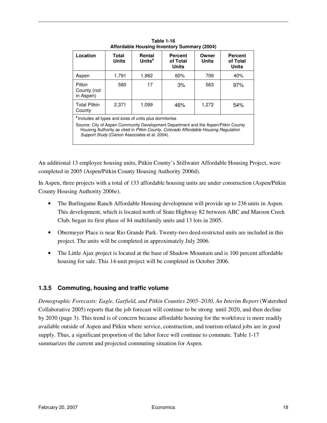| Location                                                                                                                                                                                                                                                                               | Total<br><b>Units</b> | Rental<br>Units <sup>a</sup> | <b>Percent</b><br>of Total<br><b>Units</b> | Owner<br><b>Units</b> | <b>Percent</b><br>of Total<br><b>Units</b> |  |
|----------------------------------------------------------------------------------------------------------------------------------------------------------------------------------------------------------------------------------------------------------------------------------------|-----------------------|------------------------------|--------------------------------------------|-----------------------|--------------------------------------------|--|
| Aspen                                                                                                                                                                                                                                                                                  | 1,791                 | 1,982                        | 60%                                        | 709                   | 40%                                        |  |
| Pitkin<br>County (not<br>in Aspen)                                                                                                                                                                                                                                                     | 580                   | 17                           | 3%                                         | 563                   | 97%                                        |  |
| <b>Total Pitkin</b><br>County                                                                                                                                                                                                                                                          | 2,371                 | 1,099                        | 46%                                        | 1,272                 | 54%                                        |  |
| Includes all types and sizes of units plus dormitories<br>Source: City of Aspen Community Development Department and the Aspen/Pitkin County<br>Housing Authority as cited in Pitkin County, Colorado Affordable Housing Regulation<br>Support Study (Clarion Associates et al. 2004). |                       |                              |                                            |                       |                                            |  |

**Table 1-16 Affordable Housing Inventory Summary (2004)** 

An additional 13 employee housing units, Pitkin County's Stillwater Affordable Housing Project, were completed in 2005 (Aspen/Pitkin County Housing Authority 2006d).

In Aspen, three projects with a total of 133 affordable housing units are under construction (Aspen/Pitkin County Housing Authority 2006e).

- The Burlingame Ranch Affordable Housing development will provide up to 236 units in Aspen. This development, which is located north of State Highway 82 between ABC and Maroon Creek Club, began its first phase of 84 multifamily units and 13 lots in 2005.
- Obermeyer Place is near Rio Grande Park. Twenty-two deed-restricted units are included in this project. The units will be completed in approximately July 2006.
- The Little Ajax project is located at the base of Shadow Mountain and is 100 percent affordable housing for sale. This 14-unit project will be completed in October 2006.

### **1.3.5 Commuting, housing and traffic volume**

*Demographic Forecasts: Eagle, Garfield, and Pitkin Counties 2005–2030, An Interim Report* (Watershed Collaborative 2005) reports that the job forecast will continue to be strong until 2020, and then decline by 2030 (page 3). This trend is of concern because affordable housing for the workforce is more readily available outside of Aspen and Pitkin where service, construction, and tourism-related jobs are in good supply. Thus, a significant proportion of the labor force will continue to commute. Table 1-17 summarizes the current and projected commuting situation for Aspen.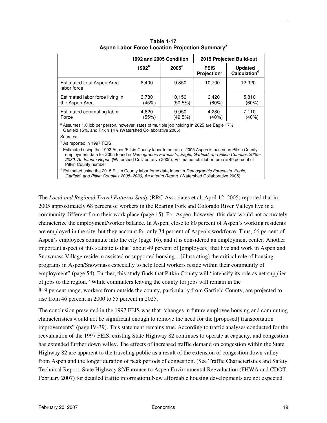|                                                                                                                                                                                                                                                                                                                                                         |                   | 1992 and 2005 Condition |                                               | 2015 Projected Build-out                   |  |  |
|---------------------------------------------------------------------------------------------------------------------------------------------------------------------------------------------------------------------------------------------------------------------------------------------------------------------------------------------------------|-------------------|-------------------------|-----------------------------------------------|--------------------------------------------|--|--|
|                                                                                                                                                                                                                                                                                                                                                         | 1992 <sup>b</sup> | $2005^{\circ}$          | <b>FEIS</b><br><b>Projection</b> <sup>b</sup> | <b>Updated</b><br>Calculation <sup>d</sup> |  |  |
| Estimated total Aspen Area<br>labor force                                                                                                                                                                                                                                                                                                               | 8,400             | 9,850                   | 10,700                                        | 12,920                                     |  |  |
| Estimated labor force living in<br>the Aspen Area                                                                                                                                                                                                                                                                                                       | 3,780<br>(45%)    | 10,150<br>(50.5%)       | 6,420<br>$(60\%)$                             | 5,810<br>(60%)                             |  |  |
| Estimated commuting labor<br>Force                                                                                                                                                                                                                                                                                                                      | 4,620<br>(55%)    | 9,950<br>(49.5%)        | 4,280<br>(40%)                                | 7,110<br>(40%)                             |  |  |
| <sup>a</sup> Assumes 1.0 job per person, however, rates of multiple job holding in 2025 are Eagle 17%,<br>Garfield 15%, and Pitkin 14% (Watershed Collaborative 2005)                                                                                                                                                                                   |                   |                         |                                               |                                            |  |  |
| Sources:                                                                                                                                                                                                                                                                                                                                                |                   |                         |                                               |                                            |  |  |
| <sup>b</sup> As reported in 1997 FEIS                                                                                                                                                                                                                                                                                                                   |                   |                         |                                               |                                            |  |  |
| <sup>c</sup> Estimated using the 1992 Aspen/Pitkin County labor force ratio. 2005 Aspen is based on Pitkin County<br>employment data for 2005 found in Demographic Forecasts, Eagle, Garfield, and Pitkin Counties 2005–<br>2030, An Interim Report (Watershed Collaborative 2005). Estimated total labor force = 49 percent of<br>Pitkin County number |                   |                         |                                               |                                            |  |  |

**Table 1-17 Aspen Labor Force Location Projection Summary<sup>a</sup>**

<sup>d</sup> Estimated using the 2015 Pitkin County labor force data found in Demographic Forecasts, Eagle, Garfield, and Pitkin Counties 2005–2030, An Interim Report (Watershed Collaborative 2005).

The *Local and Regional Travel Patterns Study* (RRC Associates et al, April 12, 2005) reported that in 2005 approximately 68 percent of workers in the Roaring Fork and Colorado River Valleys live in a community different from their work place (page 15). For Aspen, however, this data would not accurately characterize the employment/worker balance. In Aspen, close to 80 percent of Aspen's working residents are employed in the city, but they account for only 34 percent of Aspen's workforce. Thus, 66 percent of Aspen's employees commute into the city (page 16), and it is considered an employment center. Another important aspect of this statistic is that "about 49 percent of [employees] that live and work in Aspen and Snowmass Village reside in assisted or supported housing…[illustrating] the critical role of housing programs in Aspen/Snowmass especially to help local workers reside within their community of employment" (page 54). Further, this study finds that Pitkin County will "intensify its role as net supplier of jobs to the region." While commuters leaving the county for jobs will remain in the 8–9 percent range, workers from outside the county, particularly from Garfield County, are projected to rise from 46 percent in 2000 to 55 percent in 2025.

The conclusion presented in the 1997 FEIS was that "changes in future employee housing and commuting characteristics would not be significant enough to remove the need for the [proposed] transportation improvements" (page IV-39). This statement remains true. According to traffic analyses conducted for the reevaluation of the 1997 FEIS, existing State Highway 82 continues to operate at capacity, and congestion has extended further down valley. The effects of increased traffic demand on congestion within the State Highway 82 are apparent to the traveling public as a result of the extension of congestion down valley from Aspen and the longer duration of peak periods of congestion. (See Traffic Characteristics and Safety Technical Report, State Highway 82/Entrance to Aspen Environmental Reevaluation (FHWA and CDOT, February 2007) for detailed traffic information).New affordable housing developments are not expected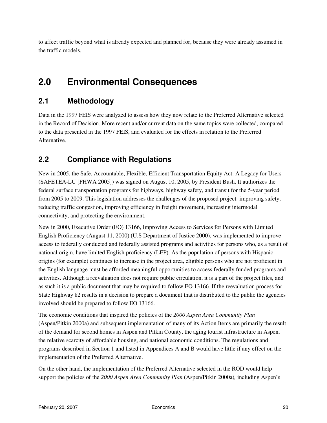to affect traffic beyond what is already expected and planned for, because they were already assumed in the traffic models.

## **2.0 Environmental Consequences**

### **2.1 Methodology**

Data in the 1997 FEIS were analyzed to assess how they now relate to the Preferred Alternative selected in the Record of Decision. More recent and/or current data on the same topics were collected, compared to the data presented in the 1997 FEIS, and evaluated for the effects in relation to the Preferred Alternative.

### **2.2 Compliance with Regulations**

New in 2005, the Safe, Accountable, Flexible, Efficient Transportation Equity Act: A Legacy for Users (SAFETEA-LU [FHWA 2005]) was signed on August 10, 2005, by President Bush. It authorizes the federal surface transportation programs for highways, highway safety, and transit for the 5-year period from 2005 to 2009. This legislation addresses the challenges of the proposed project: improving safety, reducing traffic congestion, improving efficiency in freight movement, increasing intermodal connectivity, and protecting the environment.

New in 2000, Executive Order (EO) 13166, Improving Access to Services for Persons with Limited English Proficiency (August 11, 2000) (U.S Department of Justice 2000), was implemented to improve access to federally conducted and federally assisted programs and activities for persons who, as a result of national origin, have limited English proficiency (LEP). As the population of persons with Hispanic origins (for example) continues to increase in the project area, eligible persons who are not proficient in the English language must be afforded meaningful opportunities to access federally funded programs and activities. Although a reevaluation does not require public circulation, it is a part of the project files, and as such it is a public document that may be required to follow EO 13166. If the reevaluation process for State Highway 82 results in a decision to prepare a document that is distributed to the public the agencies involved should be prepared to follow EO 13166.

The economic conditions that inspired the policies of the *2000 Aspen Area Community Plan*  (Aspen/Pitkin 2000a) and subsequent implementation of many of its Action Items are primarily the result of the demand for second homes in Aspen and Pitkin County, the aging tourist infrastructure in Aspen, the relative scarcity of affordable housing, and national economic conditions. The regulations and programs described in Section 1 and listed in Appendices A and B would have little if any effect on the implementation of the Preferred Alternative.

On the other hand, the implementation of the Preferred Alternative selected in the ROD would help support the policies of the *2000 Aspen Area Community Plan* (Aspen/Pitkin 2000a)*,* including Aspen's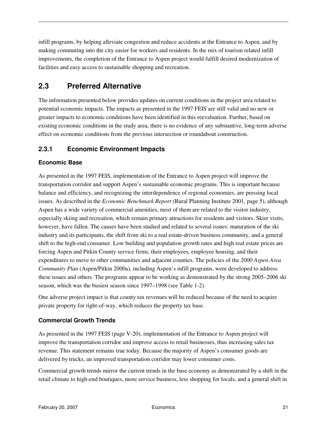infill programs, by helping alleviate congestion and reduce accidents at the Entrance to Aspen, and by making commuting into the city easier for workers and residents. In the mix of tourism related infill improvements, the completion of the Entrance to Aspen project would fulfill desired modernization of facilities and easy access to sustainable shopping and recreation.

### **2.3 Preferred Alternative**

The information presented below provides updates on current conditions in the project area related to potential economic impacts. The impacts as presented in the 1997 FEIS are still valid and no new or greater impacts to economic conditions have been identified in this reevaluation. Further, based on existing economic conditions in the study area, there is no evidence of any substantive, long-term adverse effect on economic conditions from the previous intersection or roundabout construction.

### **2.3.1 Economic Environment Impacts**

### **Economic Base**

As presented in the 1997 FEIS, implementation of the Entrance to Aspen project will improve the transportation corridor and support Aspen's sustainable economic programs. This is important because balance and efficiency, and recognizing the interdependence of regional economies, are pressing local issues. As described in the *Economic Benchmark Report* (Rural Planning Institute 2001, page 5), although Aspen has a wide variety of commercial amenities, most of them are related to the visitor industry, especially skiing and recreation, which remain primary attractions for residents and visitors. Skier visits, however, have fallen. The causes have been studied and related to several issues: maturation of the ski industry and its participants, the shift from ski to a real estate-driven business community, and a general shift to the high-end consumer. Low building and population growth rates and high real estate prices are forcing Aspen and Pitkin County service firms, their employees, employee housing, and their expenditures to move to other communities and adjacent counties. The policies of the *2000 Aspen Area Community Plan* (Aspen/Pitkin 2000a)*,* including Aspen's infill programs, were developed to address these issues and others. The programs appear to be working as demonstrated by the strong 2005–2006 ski season, which was the busiest season since 1997–1998 (see Table 1-2).

One adverse project impact is that county tax revenues will be reduced because of the need to acquire private property for right-of-way, which reduces the property tax base.

### **Commercial Growth Trends**

As presented in the 1997 FEIS (page V-20), implementation of the Entrance to Aspen project will improve the transportation corridor and improve access to retail businesses, thus increasing sales tax revenue. This statement remains true today. Because the majority of Aspen's consumer goods are delivered by trucks, an improved transportation corridor may lower consumer costs.

Commercial growth trends mirror the current trends in the base economy as demonstrated by a shift in the retail climate to high-end boutiques, more service business, less shopping for locals, and a general shift in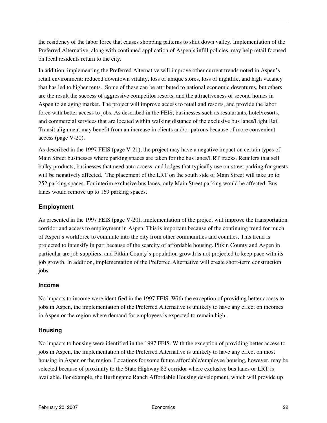the residency of the labor force that causes shopping patterns to shift down valley. Implementation of the Preferred Alternative, along with continued application of Aspen's infill policies, may help retail focused on local residents return to the city.

In addition, implementing the Preferred Alternative will improve other current trends noted in Aspen's retail environment: reduced downtown vitality, loss of unique stores, loss of nightlife, and high vacancy that has led to higher rents. Some of these can be attributed to national economic downturns, but others are the result the success of aggressive competitor resorts, and the attractiveness of second homes in Aspen to an aging market. The project will improve access to retail and resorts, and provide the labor force with better access to jobs. As described in the FEIS, businesses such as restaurants, hotel/resorts, and commercial services that are located within walking distance of the exclusive bus lanes/Light Rail Transit alignment may benefit from an increase in clients and/or patrons because of more convenient access (page V-20).

As described in the 1997 FEIS (page V-21), the project may have a negative impact on certain types of Main Street businesses where parking spaces are taken for the bus lanes/LRT tracks. Retailers that sell bulky products, businesses that need auto access, and lodges that typically use on-street parking for guests will be negatively affected. The placement of the LRT on the south side of Main Street will take up to 252 parking spaces. For interim exclusive bus lanes, only Main Street parking would be affected. Bus lanes would remove up to 169 parking spaces.

### **Employment**

As presented in the 1997 FEIS (page V-20), implementation of the project will improve the transportation corridor and access to employment in Aspen. This is important because of the continuing trend for much of Aspen's workforce to commute into the city from other communities and counties. This trend is projected to intensify in part because of the scarcity of affordable housing. Pitkin County and Aspen in particular are job suppliers, and Pitkin County's population growth is not projected to keep pace with its job growth. In addition, implementation of the Preferred Alternative will create short-term construction jobs.

#### **Income**

No impacts to income were identified in the 1997 FEIS. With the exception of providing better access to jobs in Aspen, the implementation of the Preferred Alternative is unlikely to have any effect on incomes in Aspen or the region where demand for employees is expected to remain high.

#### **Housing**

No impacts to housing were identified in the 1997 FEIS. With the exception of providing better access to jobs in Aspen, the implementation of the Preferred Alternative is unlikely to have any effect on most housing in Aspen or the region. Locations for some future affordable/employee housing, however, may be selected because of proximity to the State Highway 82 corridor where exclusive bus lanes or LRT is available. For example, the Burlingame Ranch Affordable Housing development, which will provide up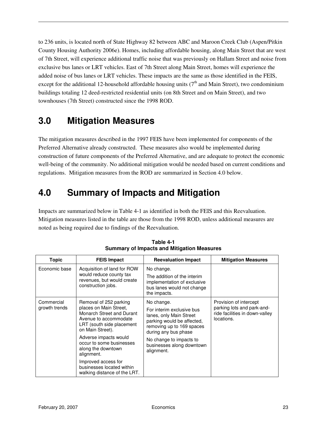to 236 units, is located north of State Highway 82 between ABC and Maroon Creek Club (Aspen/Pitkin County Housing Authority 2006e). Homes, including affordable housing, along Main Street that are west of 7th Street, will experience additional traffic noise that was previously on Hallam Street and noise from exclusive bus lanes or LRT vehicles. East of 7th Street along Main Street, homes will experience the added noise of bus lanes or LRT vehicles. These impacts are the same as those identified in the FEIS, except for the additional 12-household affordable housing units  $(7<sup>th</sup>$  and Main Street), two condominium buildings totaling 12 deed-restricted residential units (on 8th Street and on Main Street), and two townhouses (7th Street) constructed since the 1998 ROD.

## **3.0 Mitigation Measures**

The mitigation measures described in the 1997 FEIS have been implemented for components of the Preferred Alternative already constructed. These measures also would be implemented during construction of future components of the Preferred Alternative, and are adequate to protect the economic well-being of the community. No additional mitigation would be needed based on current conditions and regulations. Mitigation measures from the ROD are summarized in Section 4.0 below.

## **4.0 Summary of Impacts and Mitigation**

Impacts are summarized below in Table 4-1 as identified in both the FEIS and this Reevaluation. Mitigation measures listed in the table are those from the 1998 ROD, unless additional measures are noted as being required due to findings of the Reevaluation.

| <b>Topic</b>                | <b>FEIS Impact</b>                                                                                                                                                                                                                                                                                                                   | <b>Reevaluation Impact</b>                                                                                                                                                                                                  | <b>Mitigation Measures</b>                                                                           |
|-----------------------------|--------------------------------------------------------------------------------------------------------------------------------------------------------------------------------------------------------------------------------------------------------------------------------------------------------------------------------------|-----------------------------------------------------------------------------------------------------------------------------------------------------------------------------------------------------------------------------|------------------------------------------------------------------------------------------------------|
| Economic base               | Acquisition of land for ROW<br>would reduce county tax<br>revenues, but would create<br>construction jobs.                                                                                                                                                                                                                           | No change.<br>The addition of the interim<br>implementation of exclusive<br>bus lanes would not change<br>the impacts.                                                                                                      |                                                                                                      |
| Commercial<br>growth trends | Removal of 252 parking<br>places on Main Street,<br>Monarch Street and Durant<br>Avenue to accommodate<br>LRT (south side placement<br>on Main Street).<br>Adverse impacts would<br>occur to some businesses<br>along the downtown<br>alignment.<br>Improved access for<br>businesses located within<br>walking distance of the LRT. | No change.<br>For interim exclusive bus<br>lanes, only Main Street<br>parking would be affected,<br>removing up to 169 spaces<br>during any bus phase<br>No change to impacts to<br>businesses along downtown<br>alignment. | Provision of intercept<br>parking lots and park-and-<br>ride facilities in down-valley<br>locations. |

**Table 4-1 Summary of Impacts and Mitigation Measures**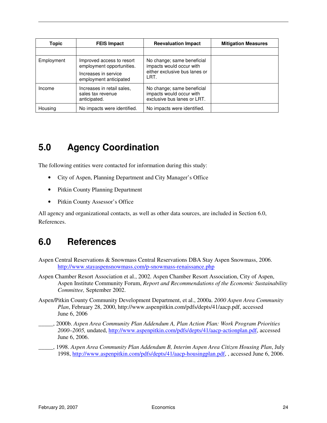| <b>Topic</b> | <b>FEIS Impact</b>                                                                                       | <b>Reevaluation Impact</b>                                                                      | <b>Mitigation Measures</b> |
|--------------|----------------------------------------------------------------------------------------------------------|-------------------------------------------------------------------------------------------------|----------------------------|
|              |                                                                                                          |                                                                                                 |                            |
| Employment   | Improved access to resort<br>employment opportunities.<br>Increases in service<br>employment anticipated | No change; same beneficial<br>impacts would occur with<br>either exclusive bus lanes or<br>LRT. |                            |
| Income       | Increases in retail sales,<br>sales tax revenue<br>anticipated.                                          | No change; same beneficial<br>impacts would occur with<br>exclusive bus lanes or LRT.           |                            |
| Housing      | No impacts were identified.                                                                              | No impacts were identified.                                                                     |                            |

## **5.0 Agency Coordination**

The following entities were contacted for information during this study:

- City of Aspen, Planning Department and City Manager's Office
- Pitkin County Planning Department
- Pitkin County Assessor's Office

All agency and organizational contacts, as well as other data sources, are included in Section 6.0, References.

### **6.0 References**

- Aspen Central Reservations & Snowmass Central Reservations DBA Stay Aspen Snowmass, 2006. http://www.stayaspensnowmass.com/p-snowmass-renaissance.php
- Aspen Chamber Resort Association et al., 2002. Aspen Chamber Resort Association, City of Aspen, Aspen Institute Community Forum, *Report and Recommendations of the Economic Sustainability Committee,* September 2002.
- Aspen/Pitkin County Community Development Department, et al., 2000a. *2000 Aspen Area Community Plan*, February 28, 2000, http://www.aspenpitkin.com/pdfs/depts/41/aacp.pdf, accessed June 6, 2006
	- \_\_\_\_\_, 2000b. *Aspen Area Community Plan Addendum A, Plan Action Plan: Work Program Priorities 2000–2005,* undated, http://www.aspenpitkin.com/pdfs/depts/41/aacp-actionplan.pdf, accessed June 6, 2006.
- \_\_\_\_\_, 1998. *Aspen Area Community Plan Addendum B, Interim Aspen Area Citizen Housing Plan*, July 1998, http://www.aspenpitkin.com/pdfs/depts/41/aacp-housingplan.pdf, , accessed June 6, 2006.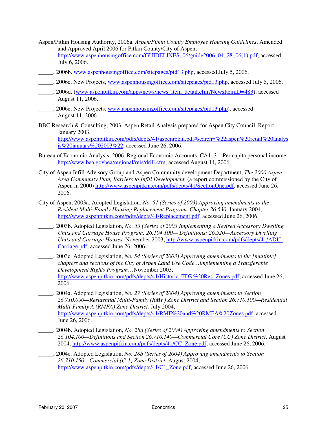- Aspen/Pitkin Housing Authority, 2006a. *Aspen/Pitkin County Employee Housing Guidelines*, Amended and Approved April 2006 for Pitkin County/City of Aspen, http://www.aspenhousingoffice.com/GUIDELINES 06/guide2006 04 28 06(1).pdf, accessed July 6, 2006.
- \_\_\_\_\_, 2006b. www.aspenhousingoffice.com/sitepages/pid13.php, accessed July 5, 2006.
- \_\_, 2006c. New Projects, www.aspenhousingoffice.com/sitepages/pid13.php, accessed July 5, 2006.
- \_\_\_\_\_, 2006d. (www.aspenpitkin.com/apps/news/news\_item\_detail.cfm?NewsItemID=483), accessed August 11, 2006.
- \_\_\_\_\_, 2006e. New Projects, www.aspenhousingoffice.com/sitepages/pid13.php), accessed August 11, 2006..
- BBC Research & Consulting, 2003. Aspen Retail Analysis prepared for Aspen City Council, Report January 2003, http://www.aspenpitkin.com/pdfs/depts/41/aspenretail.pdf#search=%22aspen%20retail%20analys is%20january%202003%22, accessed June 26, 2006.
- Bureau of Economic Analysis, 2006. Regional Economic Accounts. CA1–3 Per capita personal income. http://www.bea.govbea/regional/reis/drill.cfm, accessed August 14, 2006.
- City of Aspen Infill Advisory Group and Aspen Community development Department, *The 2000 Aspen Area Community Plan, Barriers to Infill Development,* (a report commissioned by the City of Aspen in 2000) http://www.aspenpitkin.com/pdfs/depts/41/SectionOne.pdf, accessed June 26, 2006.
- City of Aspen, 2003a. Adopted Legislation, *No. 51 (Series of 2003) Approving amendments to the Resident Multi-Family Housing Replacement Program, Chapter 26.530*. January 2004, http://www.aspenpitkin.com/pdfs/depts/41/Replacement.pdf, accessed June 26, 2006.
- \_\_\_\_\_, 2003b. Adopted Legislation, *No. 53 (Series of 2003 Implementing a Revised Accessory Dwelling Units and Carriage House Program: 26.104.100— Definitions; 26.520—Accessory Dwelling Units and Carriage Houses*. November 2003, http://www.aspenpitkin.com/pdfs/depts/41/ADU-Carriage.pdf, accessed June 26, 2006.
- \_\_\_\_\_, 2003c. Adopted Legislation, *No. 54 (Series of 2003) Approving amendments to the [multiple] chapters and sections of the City of Aspen Land Use Code…implementing a Transferable Development Rights Program*…November 2003, http://www.aspenpitkin.com/pdfs/depts/41/Historic\_TDR%20Res\_Zones.pdf, accessed June 26, 2006.
- \_\_\_\_\_, 2004a. Adopted Legislation, *No. 27 (Series of 2004) Approving amendments to Section 26.710.090—Residential Multi-Family (RMF) Zone District and Section 26.710.100—Residential Multi-Family A (RMFA) Zone District.* July 2004, http://www.aspenpitkin.com/pdfs/depts/41/RMF%20and%20RMFA%20Zones.pdf, accessed June 26, 2006.
- \_\_\_\_\_, 2004b. Adopted Legislation, *No. 28a (Series of 2004) Approving amendments to Section 26.104.100—Definitions and Section 26.710.140—Commercial Core (CC) Zone District*. August 2004, http://www.aspenpitkin.com/pdfs/depts/41/CC\_Zone.pdf, accessed June 26, 2006.
- \_\_\_\_\_, 2004c. Adopted Legislation, *No. 28b (Series of 2004) Approving amendments to Section 26.710.150—Commercial (C-1) Zone District*. August 2004, http://www.aspenpitkin.com/pdfs/depts/41/C1\_Zone.pdf, accessed June 26, 2006.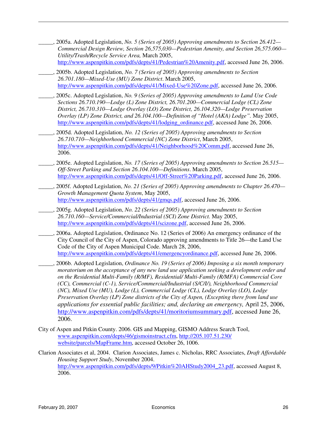- \_\_\_\_\_, 2005a. Adopted Legislation, *No. 5 (Series of 2005) Approving amendments to Section 26.412— Commercial Design Review, Section 26,575,030—Pedestrian Amenity, and Section 26,575.060— Utility/Trash/Recycle Service Area,* March 2005, http://www.aspenpitkin.com/pdfs/depts/41/Pedestrian%20Amenity.pdf, accessed June 26, 2006.
- \_\_\_\_\_, 2005b. Adopted Legislation, *No. 7 (Series of 2005) Approving amendments to Section 26.701.180—Mixed-Use (MU) Zone District*. March 2005, http://www.aspenpitkin.com/pdfs/depts/41/Mixed-Use%20Zone.pdf, accessed June 26, 2006.
- \_\_\_\_\_, 2005c. Adopted Legislation, *No. 9 (Series of 2005) Approving amendments to Land Use Code Sections 26.710.190—Lodge (L) Zone District, 26.701.200—Commercial Lodge (CL) Zone District, 26.710.310—Lodge Overlay (LO) Zone District, 26.104.320—Lodge Preservation Overlay (LP) Zone District, and 26.104.100—Definition of "Hotel (AKA) Lodge".* May 2005, http://www.aspenpitkin.com/pdfs/depts/41/lodging\_ordinance.pdf, accessed June 26, 2006.
- \_\_\_\_\_, 2005d. Adopted Legislation, *No. 12 (Series of 2005) Approving amendments to Section 26.710.710—Neighborhood Commercial (NC) Zone District*, March 2005, http://www.aspenpitkin.com/pdfs/depts/41/Neighborhood%20Comm.pdf, accessed June 26, 2006.
- \_\_\_\_\_, 2005e. Adopted Legislation, *No. 17 (Series of 2005) Approving amendments to Section 26.515— Off-Street Parking and Section 26.104.100—Definitions*. March 2005, http://www.aspenpitkin.com/pdfs/depts/41/Off-Street%20Parking.pdf, accessed June 26, 2006.
- \_\_\_\_\_, 2005f. Adopted Legislation, *No. 21 (Series of 2005) Approving amendments to Chapter 26.470— Growth Management Quota System*, May 2005, http://www.aspenpitkin.com/pdfs/depts/41/gmqs.pdf, accessed June 26, 2006.
- \_\_\_\_\_, 2005g. Adopted Legislation, *No. 22 (Series of 2005) Approving amendments to Section 26.710.160—Service/Commercial/Industrial (SCI) Zone District.* May 2005, http://www.aspenpitkin.com/pdfs/depts/41/scizone.pdf, accessed June 26, 2006.
- \_\_\_\_\_, 2006a. Adopted Legislation, Ordinance No. 12 (Series of 2006) An emergency ordinance of the City Council of the City of Aspen, Colorado approving amendments to Title 26—the Land Use Code of the City of Aspen Municipal Code. March 28, 2006, http://www.aspenpitkin.com/pdfs/depts/41/emergencyordinance.pdf, accessed June 26, 2006.
- \_\_\_\_\_, 2006b. Adopted Legislation, *Ordinance No. 19 (Series of 2006) Imposing a six month temporary moratorium on the acceptance of any new land use application seeking a development order and on the Residential Multi-Family (R/MF), Residential/ Multi-Family (R/MFA) Commercial Core (CC), Commercial (C-1), Service/Commercial/Industrial (S/C/I/), Neighborhood Commercial (NC), Mixed Use (MU), Lodge (L), Commercial Lodge (CL), Lodge Overlay (LO), Lodge Preservation Overlay (LP) Zone districts of the City of Aspen, (Excepting there from land use applications for essential public facilities; and, declaring an emergency,* April 25, 2006, http://www.aspenpitkin.com/pdfs/depts/41/moritoriumsummary.pdf, accessed June 26, 2006.
- City of Aspen and Pitkin County. 2006. GIS and Mapping, GISMO Address Search Tool, www.aspenpitkin.com/depts/46/gismoinstruct.cfm, http://205.107.51.230/ website/parcels/MapFrame.htm, accessed October 26, 1006.
- Clarion Associates et al, 2004. Clarion Associates, James c. Nicholas, RRC Associates, *Draft Affordable Housing Support Study*, November 2004. http://www.aspenpitkin.com/pdfs/depts/9/Pitkin%20AHStudy2004\_23.pdf, accessed August 8, 2006.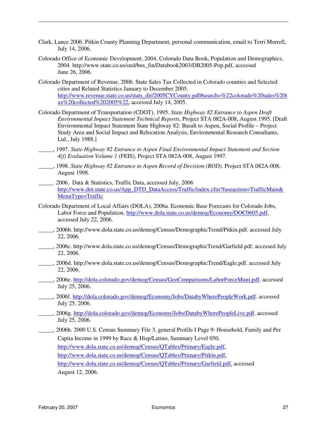- Clark, Lance 2006. Pitkin County Planning Department, personal communication, email to Terri Morrell, July 14, 2006.
- Colorado Office of Economic Development, 2004. Colorado Data Book, Population and Demographics, 2004. http://www.state.co.us/oed/bus\_fin/Databook2003/DB2005-Pop.pdf, accessed June 26, 2006.
- Colorado Department of Revenue, 2006. State Sales Tax Collected in Colorado counties and Selected cities and Related Statistics January to December 2005. http://www.revenue.state.co.us/stats\_dir/2005CYCounty.pdf#search=%22colorado%20sales%20t ax%20collected%202005%22, accessed July 14, 2005.
- Colorado Department of Transportation (CDOT), 1995. *State Highway 82 Entrance to Aspen Draft Environmental Impact Statement Technical Reports*, Project STA 082A-008, August 1995. [Draft Environmental Impact Statement State Highway 82: Basalt to Aspen, Social Profile – Project Study Area and Social Impact and Relocation Analysis, Environmental Research Consultants, Ltd., July 1988.]
- \_\_\_\_\_, 1997. *State Highway 82 Entrance to Aspen Final Environmental Impact Statement and Section 4(f) Evaluation Volume 1* (FEIS), Project STA 082A-008, August 1997.
- \_\_\_\_\_, 1998. *State Highway 82 Entrance to Aspen Record of Decision (ROD),* Project STA 082A-008, August 1998.
- \_\_\_\_\_. 2006. Data & Statistics, Traffic Data, accessed July, 2006 http://www.dot.state.co.us/App\_DTD\_DataAccess/Traffic/index.cfm?fuseaction=TrafficMain& MenuType=Traffic
- Colorado Department of Local Affairs (DOLA), 2006a. Economic Base Forecasts for Colorado Jobs, Labor Force and Population, http://www.dola.state.co.us/demog/Economy/DOC0605.pdf, accessed July 22, 2006.
- \_\_\_\_\_, 2006b. http://www.dola.state.co.us/demog/Census/DemographicTrend/Pitkin.pdf. accessed July 22, 2006.
- \_\_\_\_\_, 2006c. http://www.dola.state.co.us/demog/Census/DemographicTrend/Garfield.pdf. accessed July 22, 2006.
- \_\_\_\_\_, 2006d. http://www.dola.state.co.us/demog/Census/DemographicTrend/Eagle.pdf. accessed July 22, 2006.
- \_\_\_\_\_, 2006e. http://dola.colorado.gov/demog/Census/GeoComparisons/LaborForceMuni.pdf. accessed July 25, 2006.
- \_\_, 2006f. http://dola.colorado.gov/demog/Economy/Jobs/DatabyWherePeopleWork.pdf. accessed July 25, 2006.
- \_\_\_, 2006g. http://dola.colorado.gov/demog/Economy/Jobs/DatabyWherePeopleLive.pdf. accessed July 25, 2006.
- \_\_\_\_\_, 2006h. 2000 U.S. Census Summary File 3, general Profile I Page 9: Household, Family and Per Capita Income in 1999 by Race & Hisp/Latino, Summary Level 050.

http://www.dola.state.co.us/demog/Census/QTables/Primary/Eagle.pdf,

http://www.dola.state.co.us/demog/Census/QTables/Primary/Pitkin.pdf,

http://www.dola.state.co.us/demog/Census/QTables/Primary/Garfield.pdf, accessed August 12, 2006.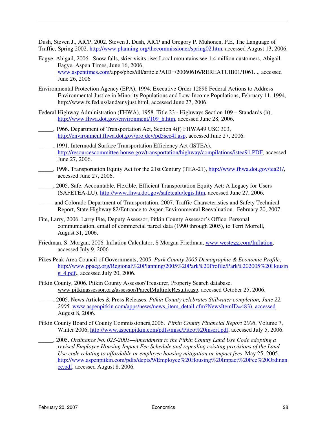Dush, Steven J., AICP, 2002. Steven J. Dush, AICP and Gregory P. Muhonen, P.E, The Language of Traffic, Spring 2002. http://www.planning.org/thecommissioner/spring02.htm, accessed August 13, 2006.

- Eagye, Abigail, 2006. Snow falls, skier visits rise: Local mountains see 1.4 million customers, Abigail Eagye, Aspen Times, June 16, 2006, www.aspentimes.com/apps/pbcs/dll/article?AID=/20060616/REREATUIB01/1061..., accessed June 26, 2006
- Environmental Protection Agency (EPA), 1994. Executive Order 12898 Federal Actions to Address Environmental Justice in Minority Populations and Low-Income Populations, February 11, 1994, http://www.fs.fed.us/land/envjust.html, accessed June 27, 2006.
- Federal Highway Administration (FHWA), 1958. Title 23 Highways Section 109 Standards (h), http://www.fhwa.dot.gov/environment/109\_h.htm, accessed June 28, 2006.
- \_\_\_\_\_, 1966. Department of Transportation Act, Section 4(f) FHWA49 USC 303, http://environment.fhwa.dot.gov/projdev/pd5sec4f.asp, accessed June 27, 2006.
- \_\_\_\_\_, 1991. Intermodal Surface Transportation Efficiency Act (ISTEA), http://resourcescommittee.house.gov/transportation/highway/compilations/istea91.PDF, accessed June 27, 2006.
- \_\_\_\_\_, 1998. Transportation Equity Act for the 21st Century (TEA-21), http://www.fhwa.dot.gov/tea21/, accessed June 27, 2006.
- \_\_\_\_\_, 2005. Safe, Accountable, Flexible, Efficient Transportation Equity Act: A Legacy for Users (SAFETEA-LU), http://www.fhwa.dot.gov/safetealu/legis.htm, accessed June 27, 2006.
- \_\_\_\_\_ and Colorado Department of Transportation. 2007. Traffic Characteristics and Safety Technical Report, State Highway 82/Entrance to Aspen Environmental Reevaluation. February 20, 2007.
- Fite, Larry, 2006. Larry Fite, Deputy Assessor, Pitkin County Assessor's Office. Personal communication, email of commercial parcel data (1990 through 2005), to Terri Morrell, August 31, 2006.
- Friedman, S. Morgan, 2006. Inflation Calculator, S Morgan Friedman, www.westegg.com/Inflation, accessed July 9, 2006
- Pikes Peak Area Council of Governments, 2005. *Park County 2005 Demographic & Economic Profile,*  http://www.ppacg.org/Regional%20Planning/2005%20Park%20Profile/Park%202005%20Housin g\_4.pdf., accessed July 20, 2006.
- Pitkin County, 2006. Pitkin County Assessor/Treasurer, Property Search database. www.pitkinassessor.org/assessor/ParcelMultipleResults.asp, accessed October 25, 2006.
- \_\_\_\_\_, 2005. News Articles & Press Releases. *Pitkin County celebrates Stillwater completion, June 22, 2005.* www.aspenpitkin.com/apps/news/news\_item\_detail.cfm?NewsItemID=483), accessed August 8, 2006.
- Pitkin County Board of County Commissioners,2006. *Pitkin County Financial Report 2006*, Volume 7, Winter 2006, http://www.aspenpitkin.com/pdfs/misc/Pitco%20insert.pdf, accessed July 5, 2006.
- \_\_\_\_\_, 2005. *Ordinance No. 023-2005—Amendment to the Pitkin County Land Use Code adopting a revised Employee Housing Impact Fee Schedule and repealing existing provisions of the Land Use code relating to affordable or employee housing mitigation or impact fees*. May 25, 2005. http://www.aspenpitkin.com/pdfs/depts/9/Employee%20Housing%20Impact%20Fee%20Ordinan ce.pdf, accessed August 8, 2006.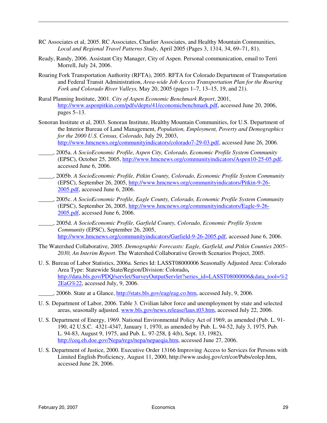- RC Associates et al, 2005. RC Associates, Charlier Associates, and Healthy Mountain Communities, *Local and Regional Travel Patterns Study*, April 2005 (Pages 3, 1314, 34, 69–71, 81).
- Ready, Randy, 2006. Assistant City Manager, City of Aspen. Personal communication, email to Terri Morrell, July 24, 2006.
- Roaring Fork Transportation Authority (RFTA), 2005. RFTA for Colorado Department of Transportation and Federal Transit Administration, *Area-wide Job Access Transportation Plan for the Roaring Fork and Colorado River Valleys,* May 20, 2005 (pages 1–7, 13–15, 19, and 21).
- Rural Planning Institute, 2001. *City of Aspen Economic Benchmark Report*, 2001, http://www.aspenpitkin.com/pdfs/depts/41/economicbenchmark.pdf, accessed June 20, 2006, pages 5–13.
- Sonoran Institute et al, 2003. Sonoran Institute, Healthy Mountain Communities, for U.S. Department of the Interior Bureau of Land Management, *Population, Employment, Poverty and Demographics for the 2000 U.S. Census, Colorado*, July 29, 2003, http://www.hmcnews.org/communityindicators/colorado7-29-03.pdf, accessed June 26, 2006.
- \_\_\_\_\_, 2005a. *A SocioEconomic Profile, Aspen City, Colorado, Economic Profile System Community* (EPSC), October 25, 2005, http://www.hmcnews.org/communityindicators/Aspen10-25-05.pdf, accessed June 6, 2006.
- \_\_\_\_\_, 2005b. *A SocioEconomic Profile, Pitkin County, Colorado, Economic Profile System Community* (EPSC), September 26, 2005, http://www.hmcnews.org/communityindicators/Pitkin-9-26- 2005.pdf, accessed June 6, 2006.
- \_\_\_\_\_, 2005c. *A SocioEconomic Profile, Eagle County, Colorado, Economic Profile System Community* (EPSC), September 26, 2005, http://www.hmcnews.org/communityindicators/Eagle-9-26- 2005.pdf, accessed June 6, 2006.
- \_\_\_\_\_, 2005d. *A SocioEconomic Profile, Garfield County, Colorado, Economic Profile System Community* (EPSC), September 26, 2005, http://www.hmcnews.org/communityindicators/Garfield-9-26-2005.pdf, accessed June 6, 2006.
- The Watershed Collaborative, 2005. *Demographic Forecasts: Eagle, Garfield, and Pitkin Counties 2005– 2030, An Interim Report*. The Watershed Collaborative Growth Scenarios Project, 2005.
- U. S. Bureau of Labor Statistics, 2006a. Series Id: LASST08000006 Seasonally Adjusted Area: Colorado Area Type: Statewide State/Region/Division: Colorado**,**  http://data.bls.gov/PDQ/servlet/SurveyOutputServlet?series\_id=LASST08000006&data\_tool=%2 2EaG%22, accessed July, 9, 2006.
	- \_\_\_\_\_, 2006b. State at a Glance, http://stats.bls.gov/eag/eag.co.htm, accessed July, 9, 2006.
- U. S. Department of Labor, 2006. Table 3. Civilian labor force and unemployment by state and selected areas, seasonally adjusted. www.bls.gov/news.release/laus.t03.htm, accessed July 22, 2006.
- U. S. Department of Energy, 1969. National Environmental Policy Act of 1969, as amended (Pub. L. 91- 190, 42 U.S.C. 4321-4347, January 1, 1970, as amended by Pub. L. 94-52, July 3, 1975, Pub. L. 94-83, August 9, 1975, and Pub. L. 97-258, § 4(b), Sept. 13, 1982), http://ceq.eh.doe.gov/Nepa/regs/nepa/nepaeqia.htm, accessed June 27, 2006.
- U. S. Department of Justice, 2000. Executive Order 13166 Improving Access to Services for Persons with Limited English Proficiency, August 11, 2000, http://www.usdoj.gov/crt/cor/Pubs/eolep.htm, accessed June 28, 2006.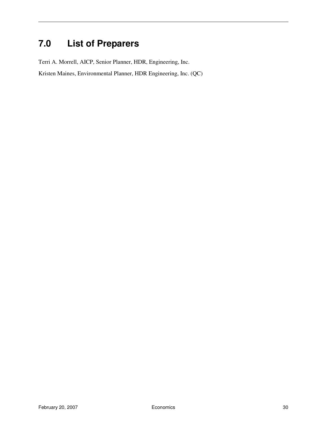## **7.0 List of Preparers**

Terri A. Morrell, AICP, Senior Planner, HDR, Engineering, Inc.

Kristen Maines, Environmental Planner, HDR Engineering, Inc. (QC)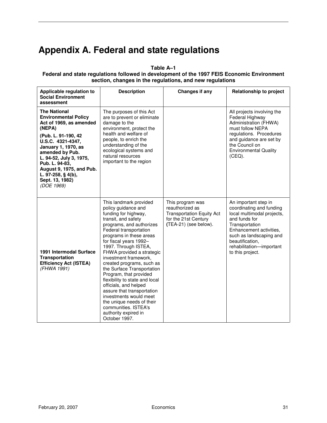## **Appendix A. Federal and state regulations**

**Table A–1** 

#### **Federal and state regulations followed in development of the 1997 FEIS Economic Environment section, changes in the regulations, and new regulations**

| Applicable regulation to<br><b>Social Environment</b><br>assessment                                                                                                                                                                                                                                           | <b>Description</b>                                                                                                                                                                                                                                                                                                                                                                                                                                                                                                                                                                          | Changes if any                                                                                                           | <b>Relationship to project</b>                                                                                                                                                                                                             |
|---------------------------------------------------------------------------------------------------------------------------------------------------------------------------------------------------------------------------------------------------------------------------------------------------------------|---------------------------------------------------------------------------------------------------------------------------------------------------------------------------------------------------------------------------------------------------------------------------------------------------------------------------------------------------------------------------------------------------------------------------------------------------------------------------------------------------------------------------------------------------------------------------------------------|--------------------------------------------------------------------------------------------------------------------------|--------------------------------------------------------------------------------------------------------------------------------------------------------------------------------------------------------------------------------------------|
| <b>The National</b><br><b>Environmental Policy</b><br>Act of 1969, as amended<br>(NEPA)<br>(Pub. L. 91-190, 42<br>U.S.C. 4321-4347,<br>January 1, 1970, as<br>amended by Pub.<br>L. 94-52, July 3, 1975,<br>Pub. L. 94-83,<br>August 9, 1975, and Pub.<br>L. 97-258, § 4(b),<br>Sept. 13, 1982)<br>(DOE 1969) | The purposes of this Act<br>are to prevent or eliminate<br>damage to the<br>environment, protect the<br>health and welfare of<br>people, to enrich the<br>understanding of the<br>ecological systems and<br>natural resources<br>important to the region                                                                                                                                                                                                                                                                                                                                    |                                                                                                                          | All projects involving the<br>Federal Highway<br>Administration (FHWA)<br>must follow NEPA<br>regulations. Procedures<br>and guidance are set by<br>the Council on<br><b>Environmental Quality</b><br>$(CEQ)$ .                            |
| 1991 Intermodal Surface<br><b>Transportation</b><br><b>Efficiency Act (ISTEA)</b><br>(FHWA 1991)                                                                                                                                                                                                              | This landmark provided<br>policy guidance and<br>funding for highway,<br>transit, and safety<br>programs, and authorizes<br>Federal transportation<br>programs in these areas<br>for fiscal years 1992-<br>1997. Through ISTEA,<br>FHWA provided a strategic<br>investment framework,<br>created programs, such as<br>the Surface Transportation<br>Program, that provided<br>flexibility to state and local<br>officials, and helped<br>assure that transportation<br>investments would meet<br>the unique needs of their<br>communities. ISTEA's<br>authority expired in<br>October 1997. | This program was<br>reauthorized as<br><b>Transportation Equity Act</b><br>for the 21st Century<br>(TEA-21) (see below). | An important step in<br>coordinating and funding<br>local multimodal projects,<br>and funds for<br>Transportation<br>Enhancement activities,<br>such as landscaping and<br>beautification,<br>rehabilitation-important<br>to this project. |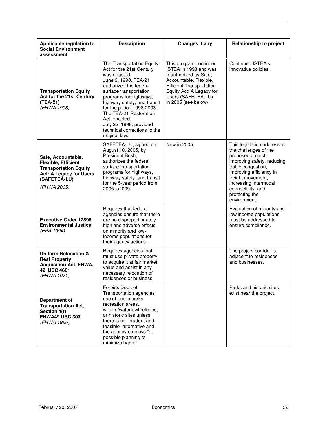| Applicable regulation to<br><b>Social Environment</b><br>assessment                                                                               | <b>Description</b>                                                                                                                                                                                                                                                                                                                                           | <b>Changes if any</b>                                                                                                                                                                                          | <b>Relationship to project</b>                                                                                                                                                                                                                                |
|---------------------------------------------------------------------------------------------------------------------------------------------------|--------------------------------------------------------------------------------------------------------------------------------------------------------------------------------------------------------------------------------------------------------------------------------------------------------------------------------------------------------------|----------------------------------------------------------------------------------------------------------------------------------------------------------------------------------------------------------------|---------------------------------------------------------------------------------------------------------------------------------------------------------------------------------------------------------------------------------------------------------------|
| <b>Transportation Equity</b><br>Act for the 21st Century<br>(TEA-21)<br>(FHWA 1998)                                                               | The Transportation Equity<br>Act for the 21st Century<br>was enacted<br>June 9, 1998. TEA-21<br>authorized the federal<br>surface transportation<br>programs for highways,<br>highway safety, and transit<br>for the period 1998-2003.<br>The TEA-21 Restoration<br>Act, enacted<br>July 22, 1998, provided<br>technical corrections to the<br>original law. | This program continued<br>ISTEA in 1998 and was<br>reauthorized as Safe,<br>Accountable, Flexible,<br><b>Efficient Transportation</b><br>Equity Act: A Legacy for<br>Users (SAFETEA-LU)<br>in 2005 (see below) | <b>Continued ISTEA's</b><br>innovative policies.                                                                                                                                                                                                              |
| Safe, Accountable,<br><b>Flexible, Efficient</b><br><b>Transportation Equity</b><br><b>Act: A Legacy for Users</b><br>(SAFETEA-LU)<br>(FHWA 2005) | SAFETEA-LU, signed on<br>August 10, 2005, by<br>President Bush,<br>authorizes the federal<br>surface transportation<br>programs for highways,<br>highway safety, and transit<br>for the 5-year period from<br>2005 to 2009                                                                                                                                   | New in 2005.                                                                                                                                                                                                   | This legislation addresses<br>the challenges of the<br>proposed project:<br>improving safety, reducing<br>traffic congestion,<br>improving efficiency in<br>freight movement,<br>increasing intermodal<br>connectivity, and<br>protecting the<br>environment. |
| <b>Executive Order 12898</b><br><b>Environmental Justice</b><br>(EPA 1994)                                                                        | Requires that federal<br>agencies ensure that there<br>are no disproportionately<br>high and adverse effects<br>on minority and low-<br>income populations for<br>their agency actions.                                                                                                                                                                      |                                                                                                                                                                                                                | Evaluation of minority and<br>low income populations<br>must be addressed to<br>ensure compliance.                                                                                                                                                            |
| <b>Uniform Relocation &amp;</b><br><b>Real Property</b><br><b>Acquisition Act, FHWA,</b><br>42 USC 4601<br>(FHWA 1971)                            | Requires agencies that<br>must use private property<br>to acquire it at fair market<br>value and assist in any<br>necessary relocation of<br>residences or business.                                                                                                                                                                                         |                                                                                                                                                                                                                | The project corridor is<br>adjacent to residences<br>and businesses.                                                                                                                                                                                          |
| <b>Department of</b><br><b>Transportation Act,</b><br>Section 4(f)<br><b>FHWA49 USC 303</b><br>(FHWA 1966)                                        | Forbids Dept. of<br>Transportation agencies'<br>use of public parks,<br>recreation areas,<br>wildlife/waterfowl refuges,<br>or historic sites unless<br>there is no "prudent and<br>feasible" alternative and<br>the agency employs "all<br>possible planning to<br>minimize harm."                                                                          |                                                                                                                                                                                                                | Parks and historic sites<br>exist near the project.                                                                                                                                                                                                           |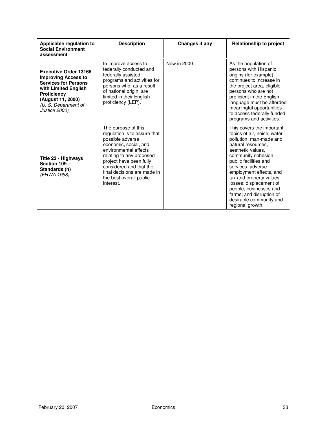| Applicable regulation to<br><b>Social Environment</b><br>assessment                                                                                                                                   | <b>Description</b>                                                                                                                                                                                                                                                                 | <b>Changes if any</b> | <b>Relationship to project</b>                                                                                                                                                                                                                                                                                                                                                            |
|-------------------------------------------------------------------------------------------------------------------------------------------------------------------------------------------------------|------------------------------------------------------------------------------------------------------------------------------------------------------------------------------------------------------------------------------------------------------------------------------------|-----------------------|-------------------------------------------------------------------------------------------------------------------------------------------------------------------------------------------------------------------------------------------------------------------------------------------------------------------------------------------------------------------------------------------|
| <b>Executive Order 13166</b><br><b>Improving Access to</b><br><b>Services for Persons</b><br>with Limited English<br><b>Proficiency</b><br>(August 11, 2000)<br>(U. S. Department of<br>Justice 2000) | to improve access to<br>federally conducted and<br>federally assisted<br>programs and activities for<br>persons who, as a result<br>of national origin, are<br>limited in their English<br>proficiency (LEP).                                                                      | New in 2000           | As the population of<br>persons with Hispanic<br>origins (for example)<br>continues to increase in<br>the project area, eligible<br>persons who are not<br>proficient in the English<br>language must be afforded<br>meaningful opportunities<br>to access federally funded<br>programs and activities.                                                                                   |
| Title 23 - Highways<br>Section 109 -<br>Standards (h)<br>(FHWA 1958)                                                                                                                                  | The purpose of this<br>regulation is to assure that<br>possible adverse<br>economic, social, and<br>environmental effects<br>relating to any proposed<br>project have been fully<br>considered and that the<br>final decisions are made in<br>the best overall public<br>interest. |                       | This covers the important<br>topics of air, noise, water<br>pollution; man-made and<br>natural resources.<br>aesthetic values.<br>community cohesion,<br>public facilities and<br>services; adverse<br>employment effects, and<br>tax and property values<br>losses; displacement of<br>people, businesses and<br>farms; and disruption of<br>desirable community and<br>regional growth. |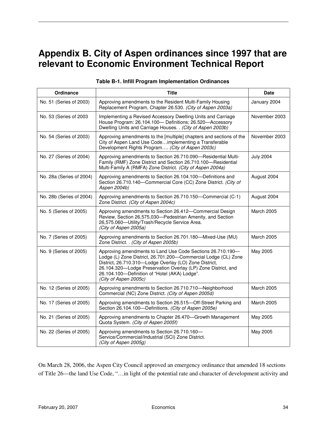## **Appendix B. City of Aspen ordinances since 1997 that are relevant to Economic Environment Technical Report**

| <b>Ordinance</b>         | <b>Title</b>                                                                                                                                                                                                                                                                                                                      | <b>Date</b>       |
|--------------------------|-----------------------------------------------------------------------------------------------------------------------------------------------------------------------------------------------------------------------------------------------------------------------------------------------------------------------------------|-------------------|
| No. 51 (Series of 2003)  | Approving amendments to the Resident Multi-Family Housing<br>Replacement Program, Chapter 26.530. (City of Aspen 2003a)                                                                                                                                                                                                           | January 2004      |
| No. 53 (Series of 2003)  | Implementing a Revised Accessory Dwelling Units and Carriage<br>House Program: 26.104.100- Definitions; 26.520-Accessory<br>Dwelling Units and Carriage Houses. . (City of Aspen 2003b)                                                                                                                                           | November 2003     |
| No. 54 (Series of 2003)  | Approving amendments to the [multiple] chapters and sections of the<br>City of Aspen Land Use Codeimplementing a Transferable<br>Development Rights Program (City of Aspen 2003c)                                                                                                                                                 | November 2003     |
| No. 27 (Series of 2004)  | Approving amendments to Section 26.710.090-Residential Multi-<br>Family (RMF) Zone District and Section 26.710.100-Residential<br>Multi-Family A (RMFA) Zone District. (City of Aspen 2004a)                                                                                                                                      | <b>July 2004</b>  |
| No. 28a (Series of 2004) | Approving amendments to Section 26.104.100-Definitions and<br>Section 26.710.140-Commercial Core (CC) Zone District. (City of<br>Aspen 2004b)                                                                                                                                                                                     | August 2004       |
| No. 28b (Series of 2004) | Approving amendments to Section 26.710.150-Commercial (C-1)<br>Zone District. (City of Aspen 2004c)                                                                                                                                                                                                                               | August 2004       |
| No. 5 (Series of 2005)   | Approving amendments to Section 26.412-Commercial Design<br>Review, Section 26,575,030-Pedestrian Amenity, and Section<br>26,575.060-Utility/Trash/Recycle Service Area.<br>(City of Aspen 2005a)                                                                                                                                 | <b>March 2005</b> |
| No. 7 (Series of 2005)   | Approving amendments to Section 26.701.180-Mixed-Use (MU)<br>Zone District. . (City of Aspen 2005b)                                                                                                                                                                                                                               | <b>March 2005</b> |
| No. 9 (Series of 2005)   | Approving amendments to Land Use Code Sections 26.710.190-<br>Lodge (L) Zone District, 26.701.200-Commercial Lodge (CL) Zone<br>District, 26.710.310-Lodge Overlay (LO) Zone District,<br>26.104.320-Lodge Preservation Overlay (LP) Zone District, and<br>26.104.100-Definition of "Hotel (AKA) Lodge".<br>(City of Aspen 2005c) | May 2005          |
| No. 12 (Series of 2005)  | Approving amendments to Section 26.710.710-Neighborhood<br>Commercial (NC) Zone District. (City of Aspen 2005d)                                                                                                                                                                                                                   | <b>March 2005</b> |
| No. 17 (Series of 2005)  | Approving amendments to Section 26.515-Off-Street Parking and<br>Section 26.104.100-Definitions. (City of Aspen 2005e)                                                                                                                                                                                                            | <b>March 2005</b> |
| No. 21 (Series of 2005)  | Approving amendments to Chapter 26.470-Growth Management<br>Quota System. (City of Aspen 2005f)                                                                                                                                                                                                                                   | May 2005          |
| No. 22 (Series of 2005)  | Approving amendments to Section 26.710.160-<br>Service/Commercial/Industrial (SCI) Zone District.<br>(City of Aspen 2005g)                                                                                                                                                                                                        | May 2005          |

#### **Table B-1. Infill Program Implementation Ordinances**

On March 28, 2006, the Aspen City Council approved an emergency ordinance that amended 18 sections of Title 26—the land Use Code, "…in light of the potential rate and character of development activity and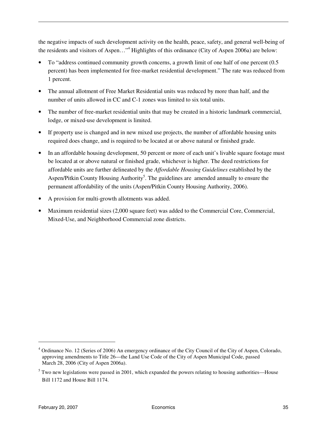the negative impacts of such development activity on the health, peace, safety, and general well-being of the residents and visitors of Aspen..."<sup>4</sup> Highlights of this ordinance (City of Aspen 2006a) are below:

- To "address continued community growth concerns, a growth limit of one half of one percent (0.5 percent) has been implemented for free-market residential development." The rate was reduced from 1 percent.
- The annual allotment of Free Market Residential units was reduced by more than half, and the number of units allowed in CC and C-1 zones was limited to six total units.
- The number of free-market residential units that may be created in a historic landmark commercial, lodge, or mixed-use development is limited.
- If property use is changed and in new mixed use projects, the number of affordable housing units required does change, and is required to be located at or above natural or finished grade.
- In an affordable housing development, 50 percent or more of each unit's livable square footage must be located at or above natural or finished grade, whichever is higher. The deed restrictions for affordable units are further delineated by the *Affordable Housing Guidelines* established by the Aspen/Pitkin County Housing Authority<sup>5</sup>. The guidelines are amended annually to ensure the permanent affordability of the units (Aspen/Pitkin County Housing Authority, 2006).
- A provision for multi-growth allotments was added.
- Maximum residential sizes (2,000 square feet) was added to the Commercial Core, Commercial, Mixed-Use, and Neighborhood Commercial zone districts.

 $\overline{a}$ 

<sup>&</sup>lt;sup>4</sup> Ordinance No. 12 (Series of 2006) An emergency ordinance of the City Council of the City of Aspen, Colorado, approving amendments to Title 26—the Land Use Code of the City of Aspen Municipal Code, passed March 28, 2006 (City of Aspen 2006a).

<sup>&</sup>lt;sup>5</sup> Two new legislations were passed in 2001, which expanded the powers relating to housing authorities—House Bill 1172 and House Bill 1174.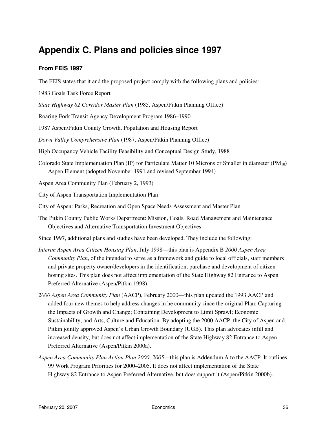## **Appendix C. Plans and policies since 1997**

### **From FEIS 1997**

The FEIS states that it and the proposed project comply with the following plans and policies:

- 1983 Goals Task Force Report
- *State Highway 82 Corridor Master Plan* (1985, Aspen/Pitkin Planning Office)
- Roaring Fork Transit Agency Development Program 1986–1990
- 1987 Aspen/Pitkin County Growth, Population and Housing Report
- *Down Valley Comprehensive Plan* (1987, Aspen/Pitkin Planning Office)
- High Occupancy Vehicle Facility Feasibility and Conceptual Design Study, 1988
- Colorado State Implementation Plan (IP) for Particulate Matter 10 Microns or Smaller in diameter ( $PM_{10}$ ) Aspen Element (adopted November 1991 and revised September 1994)

Aspen Area Community Plan (February 2, 1993)

- City of Aspen Transportation Implementation Plan
- City of Aspen: Parks, Recreation and Open Space Needs Assessment and Master Plan
- The Pitkin County Public Works Department: Mission, Goals, Road Management and Maintenance Objectives and Alternative Transportation Investment Objectives
- Since 1997, additional plans and studies have been developed. They include the following:
- *Interim Aspen Area Citizen Housing Plan*, July 1998—this plan is Appendix B *2000 Aspen Area Community Plan*, of the intended to serve as a framework and guide to local officials, staff members and private property owner/developers in the identification, purchase and development of citizen hosing sites. This plan does not affect implementation of the State Highway 82 Entrance to Aspen Preferred Alternative (Aspen/Pitkin 1998).
- *2000 Aspen Area Community Plan* (AACP), February 2000—this plan updated the 1993 AACP and added four new themes to help address changes in he community since the original Plan: Capturing the Impacts of Growth and Change; Containing Development to Limit Sprawl; Economic Sustainability; and Arts, Culture and Education. By adopting the 2000 AACP, the City of Aspen and Pitkin jointly approved Aspen's Urban Growth Boundary (UGB). This plan advocates infill and increased density, but does not affect implementation of the State Highway 82 Entrance to Aspen Preferred Alternative (Aspen/Pitkin 2000a).
- *Aspen Area Community Plan Action Plan 2000–2005*—this plan is Addendum A to the AACP. It outlines 99 Work Program Priorities for 2000–2005. It does not affect implementation of the State Highway 82 Entrance to Aspen Preferred Alternative, but does support it (Aspen/Pitkin 2000b).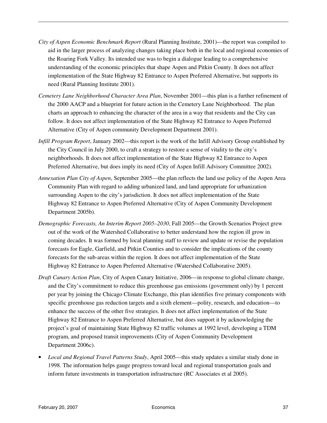- *City of Aspen Economic Benchmark Report* (Rural Planning Institute, 2001)—the report was compiled to aid in the larger process of analyzing changes taking place both in the local and regional economies of the Roaring Fork Valley. Its intended use was to begin a dialogue leading to a comprehensive understanding of the economic principles that shape Aspen and Pitkin County. It does not affect implementation of the State Highway 82 Entrance to Aspen Preferred Alternative, but supports its need (Rural Planning Institute 2001).
- *Cemetery Lane Neighborhood Character Area Plan*, November 2001—this plan is a further refinement of the 2000 AACP and a blueprint for future action in the Cemetery Lane Neighborhood. The plan charts an approach to enhancing the character of the area in a way that residents and the City can follow. It does not affect implementation of the State Highway 82 Entrance to Aspen Preferred Alternative (City of Aspen community Development Department 2001).
- *Infill Program Report*, January 2002—this report is the work of the Infill Advisory Group established by the City Council in July 2000, to craft a strategy to restore a sense of vitality to the city's neighborhoods. It does not affect implementation of the State Highway 82 Entrance to Aspen Preferred Alternative, but does imply its need (City of Aspen Infill Advisory Committee 2002).
- *Annexation Plan City of Aspen*, September 2005—the plan reflects the land use policy of the Aspen Area Community Plan with regard to adding urbanized land, and land appropriate for urbanization surrounding Aspen to the city's jurisdiction. It does not affect implementation of the State Highway 82 Entrance to Aspen Preferred Alternative (City of Aspen Community Development Department 2005b).
- *Demographic Forecasts, An Interim Report 2005–2030*, Fall 2005—the Growth Scenarios Project grew out of the work of the Watershed Collaborative to better understand how the region ill grow in coming decades. It was formed by local planning staff to review and update or revise the population forecasts for Eagle, Garfield, and Pitkin Counties and to consider the implications of the county forecasts for the sub-areas within the region. It does not affect implementation of the State Highway 82 Entrance to Aspen Preferred Alternative (Watershed Collaborative 2005).
- *Draft Canary Action Plan*, City of Aspen Canary Initiative, 2006—in response to global climate change, and the City's commitment to reduce this greenhouse gas emissions (government only) by 1 percent per year by joining the Chicago Climate Exchange, this plan identifies five primary components with specific greenhouse gas reduction targets and a sixth element—polity, research, and education—to enhance the success of the other five strategies. It does not affect implementation of the State Highway 82 Entrance to Aspen Preferred Alternative, but does support it by acknowledging the project's goal of maintaining State Highway 82 traffic volumes at 1992 level, developing a TDM program, and proposed transit improvements (City of Aspen Community Development Department 2006c).
- *Local and Regional Travel Patterns Study*, April 2005—this study updates a similar study done in 1998. The information helps gauge progress toward local and regional transportation goals and inform future investments in transportation infrastructure (RC Associates et al 2005).